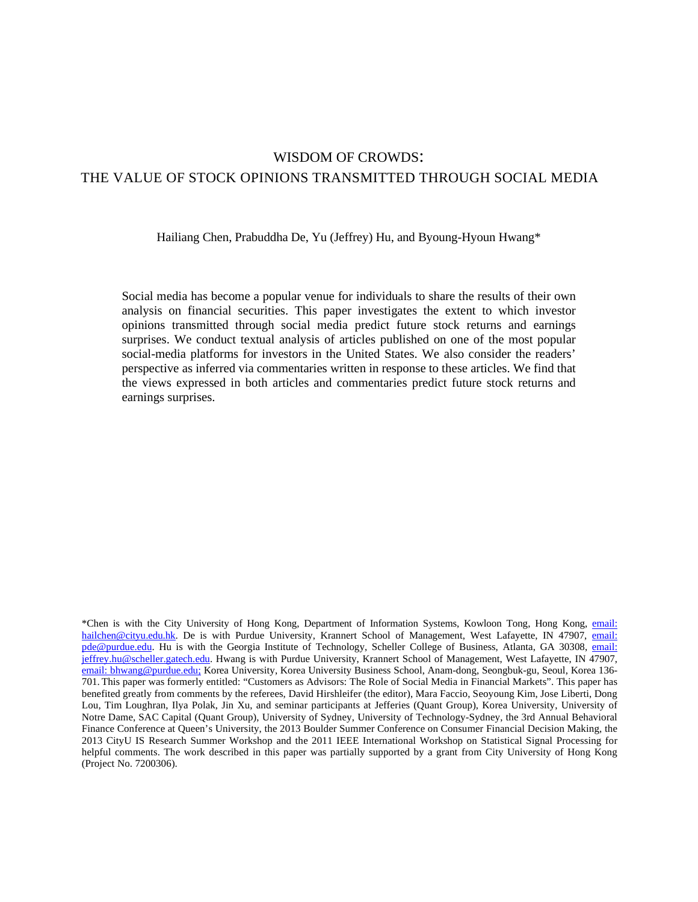# WISDOM OF CROWDS: THE VALUE OF STOCK OPINIONS TRANSMITTED THROUGH SOCIAL MEDIA

Hailiang Chen, Prabuddha De, Yu (Jeffrey) Hu, and Byoung-Hyoun Hwang\*

Social media has become a popular venue for individuals to share the results of their own analysis on financial securities. This paper investigates the extent to which investor opinions transmitted through social media predict future stock returns and earnings surprises. We conduct textual analysis of articles published on one of the most popular social-media platforms for investors in the United States. We also consider the readers' perspective as inferred via commentaries written in response to these articles. We find that the views expressed in both articles and commentaries predict future stock returns and earnings surprises.

\*Chen is with the City University of Hong Kong, Department of Information Systems, Kowloon Tong, Hong Kong, [email:](mailto:hailchen@cityu.edu.hk)  [hailchen@cityu.edu.hk. De is with Purdue University, Krannert School of Management, West Lafayette, IN 47907,](mailto:hailchen@cityu.edu.hk) email: [pde@purdue.edu. Hu is with the Georgia Institute of Technology, Scheller College of Business, Atlanta, GA 30308, e](mailto:pde@purdue.edu)[mail:](mailto:jeffrey.hu@scheller.gatech.edu)  [jeffrey.hu@scheller.gatech.edu. Hwang is with Purdue University, Krannert School of Management, West Lafayette, IN 47907,](mailto:jeffrey.hu@scheller.gatech.edu)  [email: bhwang@purdue.edu;](mailto:bhwang@purdue.edu;) Korea University, Korea University Business School, Anam-dong, Seongbuk-gu, Seoul, Korea 136-701. This paper was formerly entitled: "Customers as Advisors: The Role of Social Media in Financial Markets". This paper has benefited greatly from comments by the referees, David Hirshleifer (the editor), Mara Faccio, Seoyoung Kim, Jose Liberti, Dong Lou, Tim Loughran, Ilya Polak, Jin Xu, and seminar participants at Jefferies (Quant Group), Korea University, University of Notre Dame, SAC Capital (Quant Group), University of Sydney, University of Technology-Sydney, the 3rd Annual Behavioral Finance Conference at Queen's University, the 2013 Boulder Summer Conference on Consumer Financial Decision Making, the 2013 CityU IS Research Summer Workshop and the 2011 IEEE International Workshop on Statistical Signal Processing for helpful comments. The work described in this paper was partially supported by a grant from City University of Hong Kong (Project No. 7200306).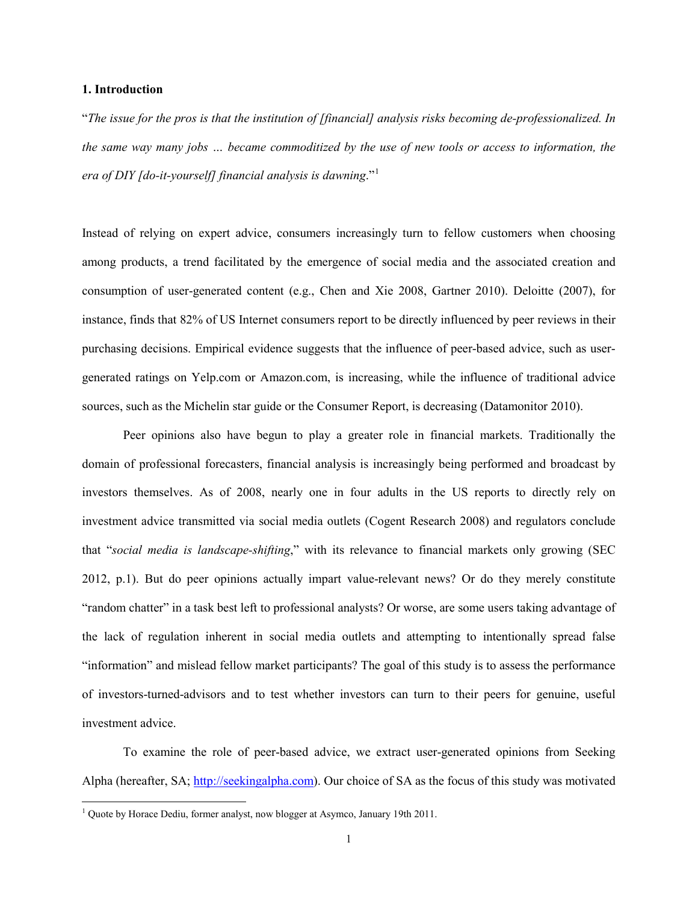### **1. Introduction**

"*The issue for the pros is that the institution of [financial] analysis risks becoming de-professionalized. In the same way many jobs … became commoditized by the use of new tools or access to information, the era of DIY [do-it-yourself] financial analysis is dawning*."<sup>1</sup>

Instead of relying on expert advice, consumers increasingly turn to fellow customers when choosing among products, a trend facilitated by the emergence of social media and the associated creation and consumption of user-generated content (e.g., Chen and Xie 2008, Gartner 2010). Deloitte (2007), for instance, finds that 82% of US Internet consumers report to be directly influenced by peer reviews in their purchasing decisions. Empirical evidence suggests that the influence of peer-based advice, such as usergenerated ratings on Yelp.com or Amazon.com, is increasing, while the influence of traditional advice sources, such as the Michelin star guide or the Consumer Report, is decreasing (Datamonitor 2010).

Peer opinions also have begun to play a greater role in financial markets. Traditionally the domain of professional forecasters, financial analysis is increasingly being performed and broadcast by investors themselves. As of 2008, nearly one in four adults in the US reports to directly rely on investment advice transmitted via social media outlets (Cogent Research 2008) and regulators conclude that "*social media is landscape-shifting*," with its relevance to financial markets only growing (SEC 2012, p.1). But do peer opinions actually impart value-relevant news? Or do they merely constitute "random chatter" in a task best left to professional analysts? Or worse, are some users taking advantage of the lack of regulation inherent in social media outlets and attempting to intentionally spread false "information" and mislead fellow market participants? The goal of this study is to assess the performance of investors-turned-advisors and to test whether investors can turn to their peers for genuine, useful investment advice.

To examine the role of peer-based advice, we extract user-generated opinions from Seeking Alpha (hereafter, SA[; http://seekingalpha.com\)](http://seekingalpha.com/). Our choice of SA as the focus of this study was motivated

<sup>&</sup>lt;sup>1</sup> Quote by Horace Dediu, former analyst, now blogger at Asymco, January 19th 2011.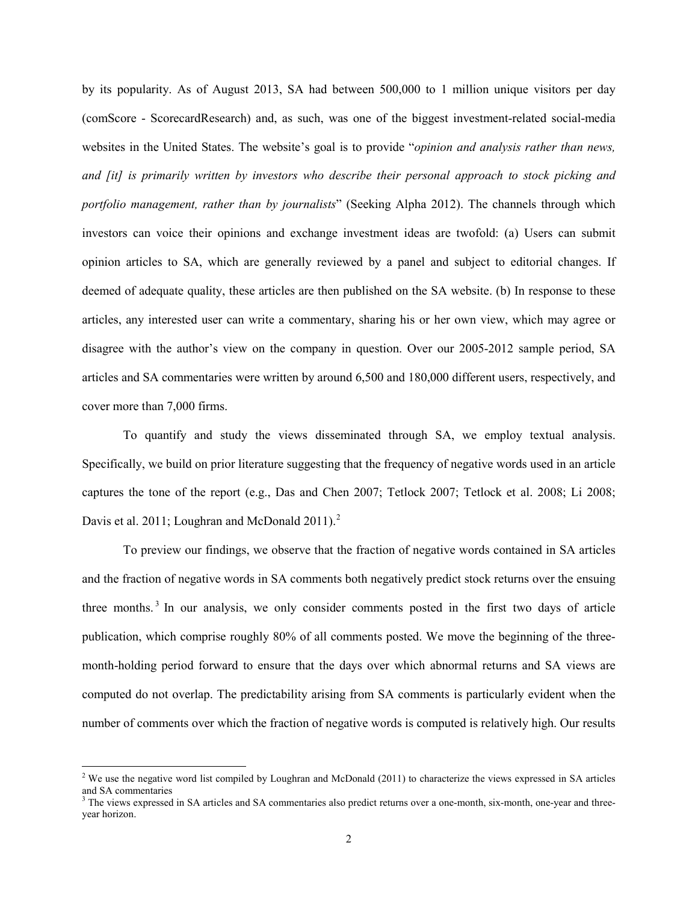by its popularity. As of August 2013, SA had between 500,000 to 1 million unique visitors per day (comScore - ScorecardResearch) and, as such, was one of the biggest investment-related social-media websites in the United States. The website's goal is to provide "*opinion and analysis rather than news, and [it] is primarily written by investors who describe their personal approach to stock picking and portfolio management, rather than by journalists*" (Seeking Alpha 2012). The channels through which investors can voice their opinions and exchange investment ideas are twofold: (a) Users can submit opinion articles to SA, which are generally reviewed by a panel and subject to editorial changes. If deemed of adequate quality, these articles are then published on the SA website. (b) In response to these articles, any interested user can write a commentary, sharing his or her own view, which may agree or disagree with the author's view on the company in question. Over our 2005-2012 sample period, SA articles and SA commentaries were written by around 6,500 and 180,000 different users, respectively, and cover more than 7,000 firms.

To quantify and study the views disseminated through SA, we employ textual analysis. Specifically, we build on prior literature suggesting that the frequency of negative words used in an article captures the tone of the report (e.g., Das and Chen 2007; Tetlock 2007; Tetlock et al. 2008; Li 2008; Davis et al. 2011; Loughran and McDonald 2011).<sup>2</sup>

To preview our findings, we observe that the fraction of negative words contained in SA articles and the fraction of negative words in SA comments both negatively predict stock returns over the ensuing three months. 3 In our analysis, we only consider comments posted in the first two days of article publication, which comprise roughly 80% of all comments posted. We move the beginning of the threemonth-holding period forward to ensure that the days over which abnormal returns and SA views are computed do not overlap. The predictability arising from SA comments is particularly evident when the number of comments over which the fraction of negative words is computed is relatively high. Our results

 $2$  We use the negative word list compiled by Loughran and McDonald (2011) to characterize the views expressed in SA articles and SA commentaries

<sup>&</sup>lt;sup>3</sup> The views expressed in SA articles and SA commentaries also predict returns over a one-month, six-month, one-year and threeyear horizon.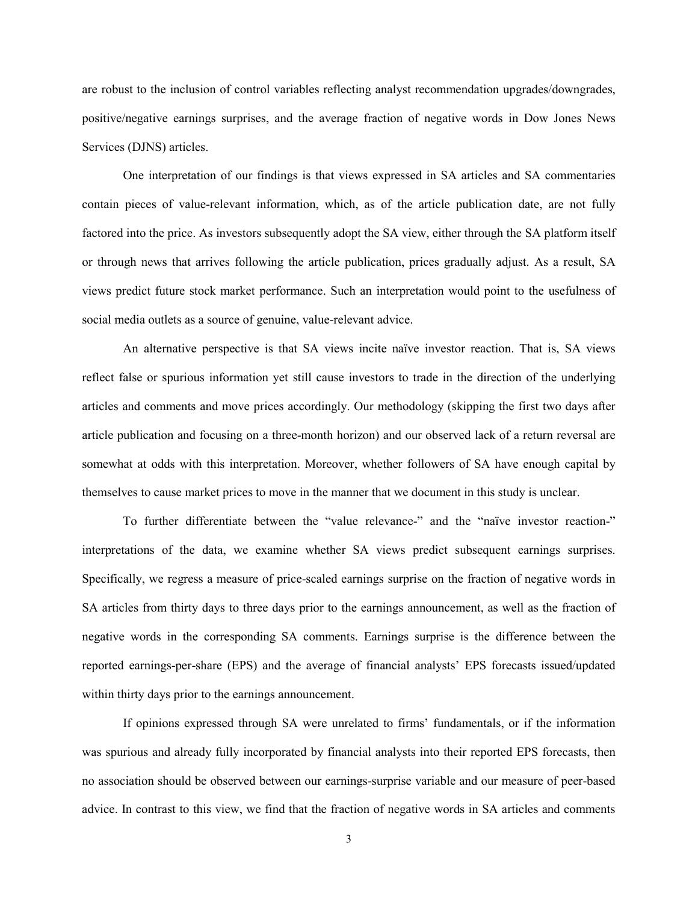are robust to the inclusion of control variables reflecting analyst recommendation upgrades/downgrades, positive/negative earnings surprises, and the average fraction of negative words in Dow Jones News Services (DJNS) articles.

One interpretation of our findings is that views expressed in SA articles and SA commentaries contain pieces of value-relevant information, which, as of the article publication date, are not fully factored into the price. As investors subsequently adopt the SA view, either through the SA platform itself or through news that arrives following the article publication, prices gradually adjust. As a result, SA views predict future stock market performance. Such an interpretation would point to the usefulness of social media outlets as a source of genuine, value-relevant advice.

An alternative perspective is that SA views incite naïve investor reaction. That is, SA views reflect false or spurious information yet still cause investors to trade in the direction of the underlying articles and comments and move prices accordingly. Our methodology (skipping the first two days after article publication and focusing on a three-month horizon) and our observed lack of a return reversal are somewhat at odds with this interpretation. Moreover, whether followers of SA have enough capital by themselves to cause market prices to move in the manner that we document in this study is unclear.

To further differentiate between the "value relevance-" and the "naïve investor reaction-" interpretations of the data, we examine whether SA views predict subsequent earnings surprises. Specifically, we regress a measure of price-scaled earnings surprise on the fraction of negative words in SA articles from thirty days to three days prior to the earnings announcement, as well as the fraction of negative words in the corresponding SA comments. Earnings surprise is the difference between the reported earnings-per-share (EPS) and the average of financial analysts' EPS forecasts issued/updated within thirty days prior to the earnings announcement.

If opinions expressed through SA were unrelated to firms' fundamentals, or if the information was spurious and already fully incorporated by financial analysts into their reported EPS forecasts, then no association should be observed between our earnings-surprise variable and our measure of peer-based advice. In contrast to this view, we find that the fraction of negative words in SA articles and comments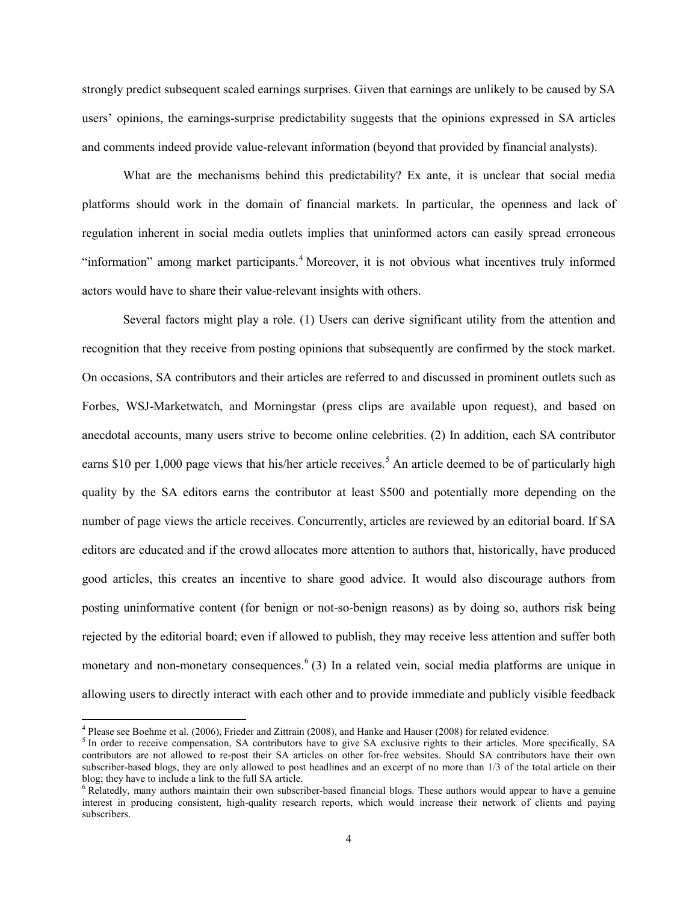strongly predict subsequent scaled earnings surprises. Given that earnings are unlikely to be caused by SA users' opinions, the earnings-surprise predictability suggests that the opinions expressed in SA articles and comments indeed provide value-relevant information (beyond that provided by financial analysts).

What are the mechanisms behind this predictability? Ex ante, it is unclear that social media platforms should work in the domain of financial markets. In particular, the openness and lack of regulation inherent in social media outlets implies that uninformed actors can easily spread erroneous "information" among market participants.<sup>4</sup> Moreover, it is not obvious what incentives truly informed actors would have to share their value-relevant insights with others.

Several factors might play a role. (1) Users can derive significant utility from the attention and recognition that they receive from posting opinions that subsequently are confirmed by the stock market. On occasions, SA contributors and their articles are referred to and discussed in prominent outlets such as Forbes, WSJ-Marketwatch, and Morningstar (press clips are available upon request), and based on anecdotal accounts, many users strive to become online celebrities. (2) In addition, each SA contributor earns \$10 per 1,000 page views that his/her article receives.<sup>5</sup> An article deemed to be of particularly high quality by the SA editors earns the contributor at least \$500 and potentially more depending on the number of page views the article receives. Concurrently, articles are reviewed by an editorial board. If SA editors are educated and if the crowd allocates more attention to authors that, historically, have produced good articles, this creates an incentive to share good advice. It would also discourage authors from posting uninformative content (for benign or not-so-benign reasons) as by doing so, authors risk being rejected by the editorial board; even if allowed to publish, they may receive less attention and suffer both monetary and non-monetary consequences.<sup>6</sup> (3) In a related vein, social media platforms are unique in allowing users to directly interact with each other and to provide immediate and publicly visible feedback

 $\overline{\phantom{0}}$ 

<sup>4</sup> Please see Boehme et al. (2006), Frieder and Zittrain (2008), and Hanke and Hauser (2008) for related evidence.

<sup>&</sup>lt;sup>5</sup> In order to receive compensation, SA contributors have to give SA exclusive rights to their articles. More specifically, SA contributors are not allowed to re-post their SA articles on other for-free websites. Should SA contributors have their own subscriber-based blogs, they are only allowed to post headlines and an excerpt of no more than 1/3 of the total article on their blog; they have to include a link to the full SA article.

<sup>&</sup>lt;sup>6</sup> Relatedly, many authors maintain their own subscriber-based financial blogs. These authors would appear to have a genuine interest in producing consistent, high-quality research reports, which would increase their network of clients and paying subscribers.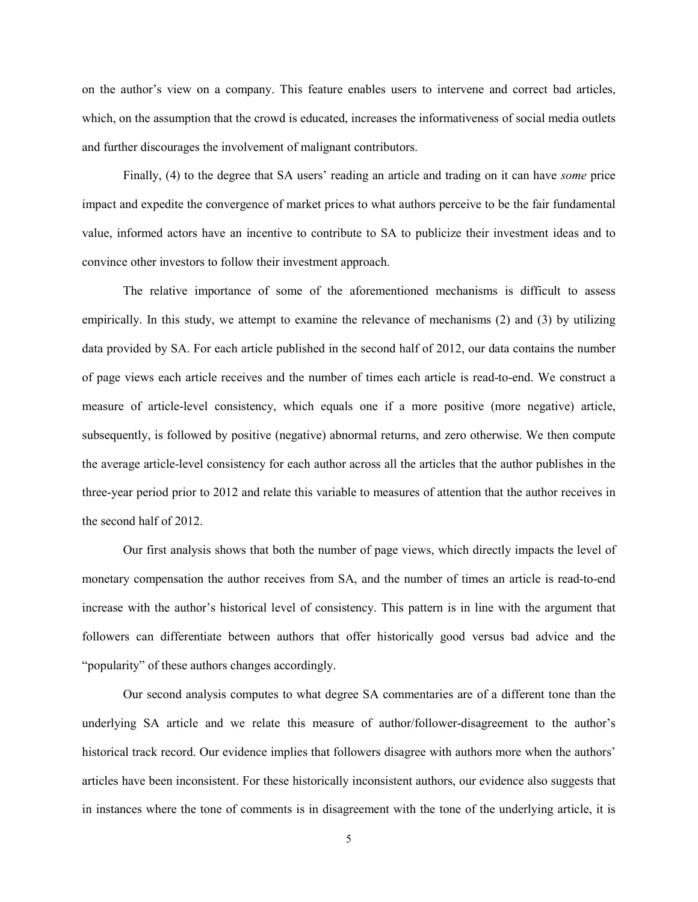on the author's view on a company. This feature enables users to intervene and correct bad articles, which, on the assumption that the crowd is educated, increases the informativeness of social media outlets and further discourages the involvement of malignant contributors.

Finally, (4) to the degree that SA users' reading an article and trading on it can have *some* price impact and expedite the convergence of market prices to what authors perceive to be the fair fundamental value, informed actors have an incentive to contribute to SA to publicize their investment ideas and to convince other investors to follow their investment approach.

The relative importance of some of the aforementioned mechanisms is difficult to assess empirically. In this study, we attempt to examine the relevance of mechanisms (2) and (3) by utilizing data provided by SA. For each article published in the second half of 2012, our data contains the number of page views each article receives and the number of times each article is read-to-end. We construct a measure of article-level consistency, which equals one if a more positive (more negative) article, subsequently, is followed by positive (negative) abnormal returns, and zero otherwise. We then compute the average article-level consistency for each author across all the articles that the author publishes in the three-year period prior to 2012 and relate this variable to measures of attention that the author receives in the second half of 2012.

Our first analysis shows that both the number of page views, which directly impacts the level of monetary compensation the author receives from SA, and the number of times an article is read-to-end increase with the author's historical level of consistency. This pattern is in line with the argument that followers can differentiate between authors that offer historically good versus bad advice and the "popularity" of these authors changes accordingly.

Our second analysis computes to what degree SA commentaries are of a different tone than the underlying SA article and we relate this measure of author/follower-disagreement to the author's historical track record. Our evidence implies that followers disagree with authors more when the authors' articles have been inconsistent. For these historically inconsistent authors, our evidence also suggests that in instances where the tone of comments is in disagreement with the tone of the underlying article, it is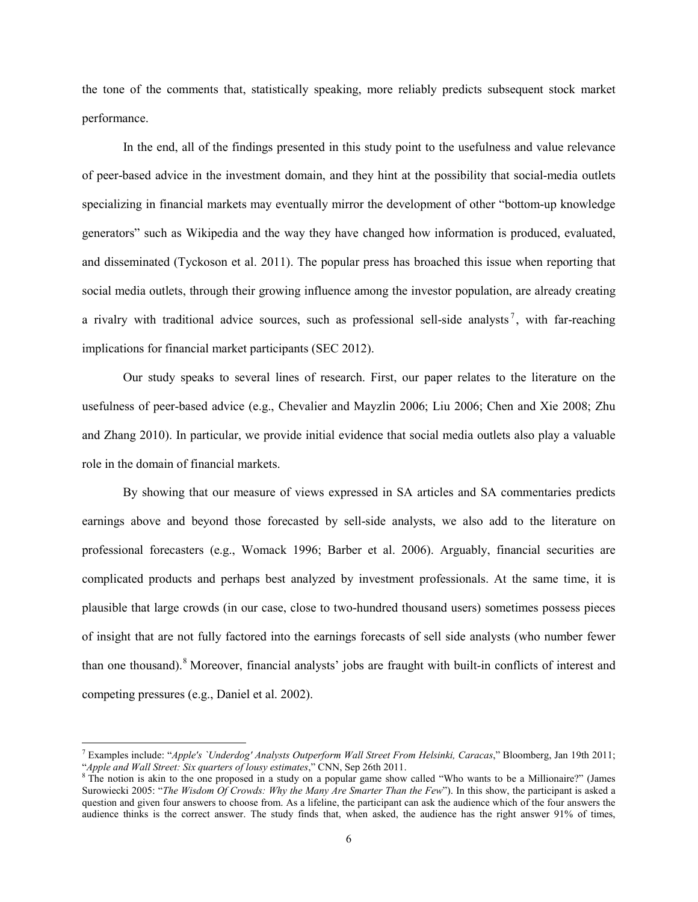the tone of the comments that, statistically speaking, more reliably predicts subsequent stock market performance.

In the end, all of the findings presented in this study point to the usefulness and value relevance of peer-based advice in the investment domain, and they hint at the possibility that social-media outlets specializing in financial markets may eventually mirror the development of other "bottom-up knowledge generators" such as Wikipedia and the way they have changed how information is produced, evaluated, and disseminated (Tyckoson et al. 2011). The popular press has broached this issue when reporting that social media outlets, through their growing influence among the investor population, are already creating a rivalry with traditional advice sources, such as professional sell-side analysts<sup>7</sup>, with far-reaching implications for financial market participants (SEC 2012).

Our study speaks to several lines of research. First, our paper relates to the literature on the usefulness of peer-based advice (e.g., Chevalier and Mayzlin 2006; Liu 2006; Chen and Xie 2008; Zhu and Zhang 2010). In particular, we provide initial evidence that social media outlets also play a valuable role in the domain of financial markets.

By showing that our measure of views expressed in SA articles and SA commentaries predicts earnings above and beyond those forecasted by sell-side analysts, we also add to the literature on professional forecasters (e.g., Womack 1996; Barber et al. 2006). Arguably, financial securities are complicated products and perhaps best analyzed by investment professionals. At the same time, it is plausible that large crowds (in our case, close to two-hundred thousand users) sometimes possess pieces of insight that are not fully factored into the earnings forecasts of sell side analysts (who number fewer than one thousand). <sup>8</sup> Moreover, financial analysts' jobs are fraught with built-in conflicts of interest and competing pressures (e.g., Daniel et al. 2002).

<sup>7</sup> Examples include: "*Apple's `Underdog' Analysts Outperform Wall Street From Helsinki, Caracas*," Bloomberg, Jan 19th 2011; "*Apple and Wall Street: Six quarters of lousy estimates*," CNN, Sep 26th 2011.

<sup>&</sup>lt;sup>8</sup> The notion is akin to the one proposed in a study on a popular game show called "Who wants to be a Millionaire?" (James Surowiecki 2005: "*The Wisdom Of Crowds: Why the Many Are Smarter Than the Few*"). In this show, the participant is asked a question and given four answers to choose from. As a lifeline, the participant can ask the audience which of the four answers the audience thinks is the correct answer. The study finds that, when asked, the audience has the right answer 91% of times,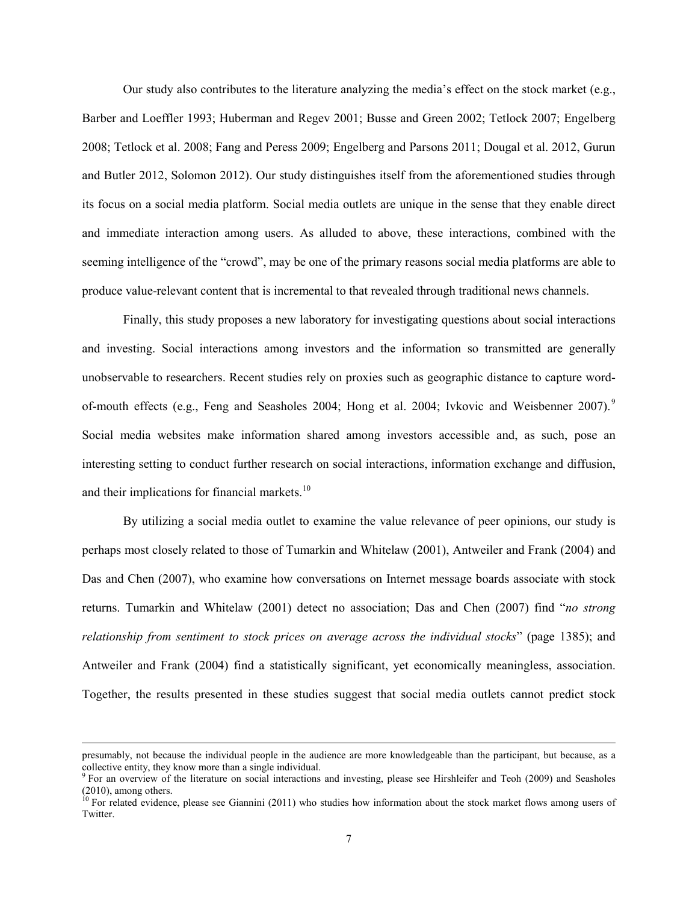Our study also contributes to the literature analyzing the media's effect on the stock market (e.g., Barber and Loeffler 1993; Huberman and Regev 2001; Busse and Green 2002; Tetlock 2007; Engelberg 2008; Tetlock et al. 2008; Fang and Peress 2009; Engelberg and Parsons 2011; Dougal et al. 2012, Gurun and Butler 2012, Solomon 2012). Our study distinguishes itself from the aforementioned studies through its focus on a social media platform. Social media outlets are unique in the sense that they enable direct and immediate interaction among users. As alluded to above, these interactions, combined with the seeming intelligence of the "crowd", may be one of the primary reasons social media platforms are able to produce value-relevant content that is incremental to that revealed through traditional news channels.

Finally, this study proposes a new laboratory for investigating questions about social interactions and investing. Social interactions among investors and the information so transmitted are generally unobservable to researchers. Recent studies rely on proxies such as geographic distance to capture wordof-mouth effects (e.g., Feng and Seasholes 2004; Hong et al. 2004; Ivkovic and Weisbenner 2007).<sup>9</sup> Social media websites make information shared among investors accessible and, as such, pose an interesting setting to conduct further research on social interactions, information exchange and diffusion, and their implications for financial markets. $10$ 

By utilizing a social media outlet to examine the value relevance of peer opinions, our study is perhaps most closely related to those of Tumarkin and Whitelaw (2001), Antweiler and Frank (2004) and Das and Chen (2007), who examine how conversations on Internet message boards associate with stock returns. Tumarkin and Whitelaw (2001) detect no association; Das and Chen (2007) find "*no strong relationship from sentiment to stock prices on average across the individual stocks*" (page 1385); and Antweiler and Frank (2004) find a statistically significant, yet economically meaningless, association. Together, the results presented in these studies suggest that social media outlets cannot predict stock

presumably, not because the individual people in the audience are more knowledgeable than the participant, but because, as a

 $9$  For an overview of the literature on social interactions and investing, please see Hirshleifer and Teoh (2009) and Seasholes (2010), among others.

 $10$  For related evidence, please see Giannini (2011) who studies how information about the stock market flows among users of Twitter.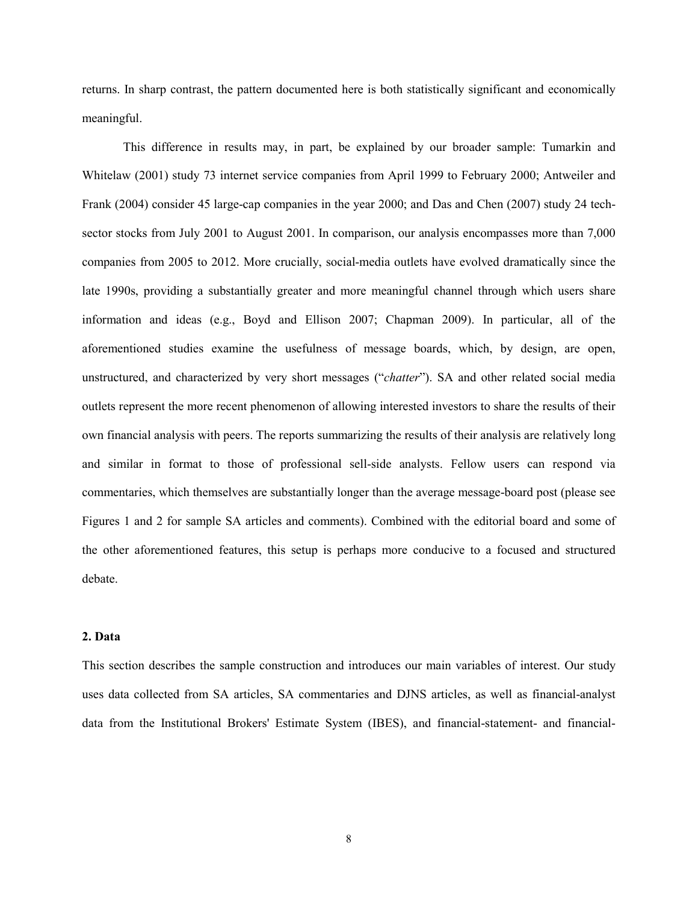returns. In sharp contrast, the pattern documented here is both statistically significant and economically meaningful.

This difference in results may, in part, be explained by our broader sample: Tumarkin and Whitelaw (2001) study 73 internet service companies from April 1999 to February 2000; Antweiler and Frank (2004) consider 45 large-cap companies in the year 2000; and Das and Chen (2007) study 24 techsector stocks from July 2001 to August 2001. In comparison, our analysis encompasses more than 7,000 companies from 2005 to 2012. More crucially, social-media outlets have evolved dramatically since the late 1990s, providing a substantially greater and more meaningful channel through which users share information and ideas (e.g., Boyd and Ellison 2007; Chapman 2009). In particular, all of the aforementioned studies examine the usefulness of message boards, which, by design, are open, unstructured, and characterized by very short messages ("*chatter*"). SA and other related social media outlets represent the more recent phenomenon of allowing interested investors to share the results of their own financial analysis with peers. The reports summarizing the results of their analysis are relatively long and similar in format to those of professional sell-side analysts. Fellow users can respond via commentaries, which themselves are substantially longer than the average message-board post (please see Figures 1 and 2 for sample SA articles and comments). Combined with the editorial board and some of the other aforementioned features, this setup is perhaps more conducive to a focused and structured debate.

### **2. Data**

This section describes the sample construction and introduces our main variables of interest. Our study uses data collected from SA articles, SA commentaries and DJNS articles, as well as financial-analyst data from the Institutional Brokers' Estimate System (IBES), and financial-statement- and financial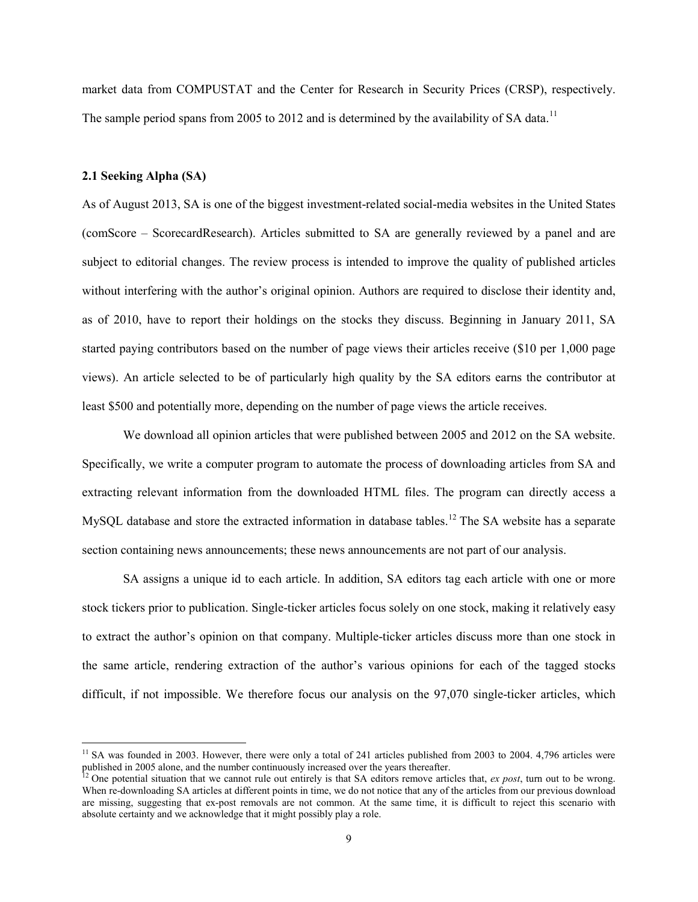market data from COMPUSTAT and the Center for Research in Security Prices (CRSP), respectively. The sample period spans from 2005 to 2012 and is determined by the availability of SA data.<sup>11</sup>

#### **2.1 Seeking Alpha (SA)**

ı

As of August 2013, SA is one of the biggest investment-related social-media websites in the United States (comScore – ScorecardResearch). Articles submitted to SA are generally reviewed by a panel and are subject to editorial changes. The review process is intended to improve the quality of published articles without interfering with the author's original opinion. Authors are required to disclose their identity and, as of 2010, have to report their holdings on the stocks they discuss. Beginning in January 2011, SA started paying contributors based on the number of page views their articles receive (\$10 per 1,000 page views). An article selected to be of particularly high quality by the SA editors earns the contributor at least \$500 and potentially more, depending on the number of page views the article receives.

We download all opinion articles that were published between 2005 and 2012 on the SA website. Specifically, we write a computer program to automate the process of downloading articles from SA and extracting relevant information from the downloaded HTML files. The program can directly access a MySQL database and store the extracted information in database tables.<sup>12</sup> The SA website has a separate section containing news announcements; these news announcements are not part of our analysis.

SA assigns a unique id to each article. In addition, SA editors tag each article with one or more stock tickers prior to publication. Single-ticker articles focus solely on one stock, making it relatively easy to extract the author's opinion on that company. Multiple-ticker articles discuss more than one stock in the same article, rendering extraction of the author's various opinions for each of the tagged stocks difficult, if not impossible. We therefore focus our analysis on the 97,070 single-ticker articles, which

<sup>&</sup>lt;sup>11</sup> SA was founded in 2003. However, there were only a total of 241 articles published from 2003 to 2004. 4,796 articles were published in 2005 alone, and the number continuously increased over the years thereafter.

<sup>12</sup> One potential situation that we cannot rule out entirely is that SA editors remove articles that, *ex post*, turn out to be wrong. When re-downloading SA articles at different points in time, we do not notice that any of the articles from our previous download are missing, suggesting that ex-post removals are not common. At the same time, it is difficult to reject this scenario with absolute certainty and we acknowledge that it might possibly play a role.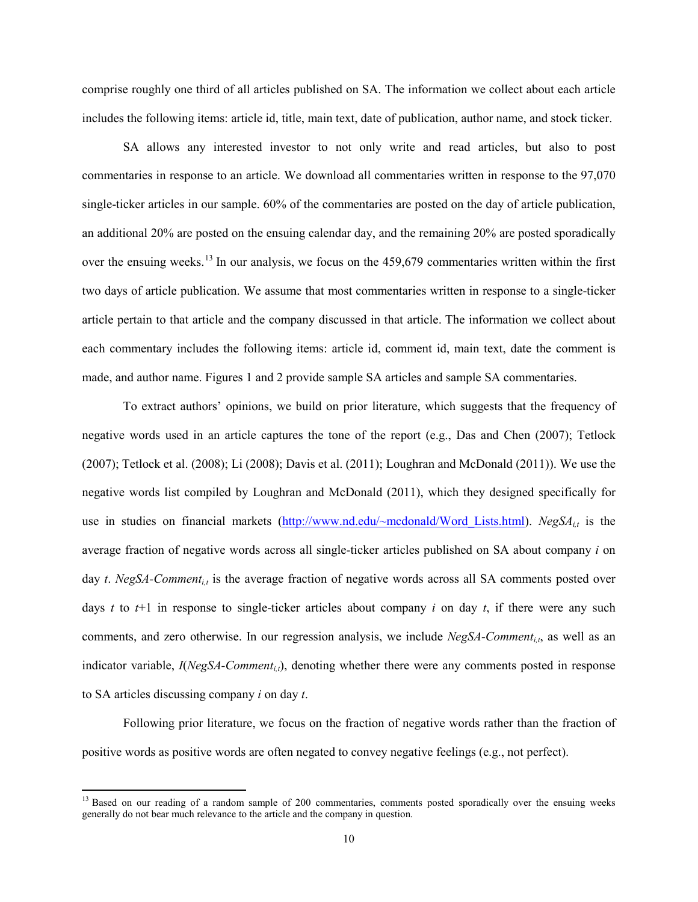comprise roughly one third of all articles published on SA. The information we collect about each article includes the following items: article id, title, main text, date of publication, author name, and stock ticker.

SA allows any interested investor to not only write and read articles, but also to post commentaries in response to an article. We download all commentaries written in response to the 97,070 single-ticker articles in our sample. 60% of the commentaries are posted on the day of article publication, an additional 20% are posted on the ensuing calendar day, and the remaining 20% are posted sporadically over the ensuing weeks.<sup>13</sup> In our analysis, we focus on the 459,679 commentaries written within the first two days of article publication. We assume that most commentaries written in response to a single-ticker article pertain to that article and the company discussed in that article. The information we collect about each commentary includes the following items: article id, comment id, main text, date the comment is made, and author name. Figures 1 and 2 provide sample SA articles and sample SA commentaries.

To extract authors' opinions, we build on prior literature, which suggests that the frequency of negative words used in an article captures the tone of the report (e.g., Das and Chen (2007); Tetlock (2007); Tetlock et al. (2008); Li (2008); Davis et al. (2011); Loughran and McDonald (2011)). We use the negative words list compiled by Loughran and McDonald (2011), which they designed specifically for use in studies on financial markets ([http://www.nd.edu/~mcdonald/Word\\_Lists.html\)](http://www.nd.edu/~mcdonald/Word_Lists.html). *NegSA<sub>it</sub>* is the average fraction of negative words across all single-ticker articles published on SA about company *i* on day *t*. *NegSA-Comment<sub>it</sub>* is the average fraction of negative words across all SA comments posted over days *t* to *t*+1 in response to single-ticker articles about company *i* on day *t*, if there were any such comments, and zero otherwise. In our regression analysis, we include *NegSA-Comment<sub>it</sub>*, as well as an indicator variable, *I*(*NegSA-Comment<sub>i,t</sub>*), denoting whether there were any comments posted in response to SA articles discussing company *i* on day *t*.

Following prior literature, we focus on the fraction of negative words rather than the fraction of positive words as positive words are often negated to convey negative feelings (e.g., not perfect).

 $\overline{\phantom{0}}$ 

<sup>&</sup>lt;sup>13</sup> Based on our reading of a random sample of 200 commentaries, comments posted sporadically over the ensuing weeks generally do not bear much relevance to the article and the company in question.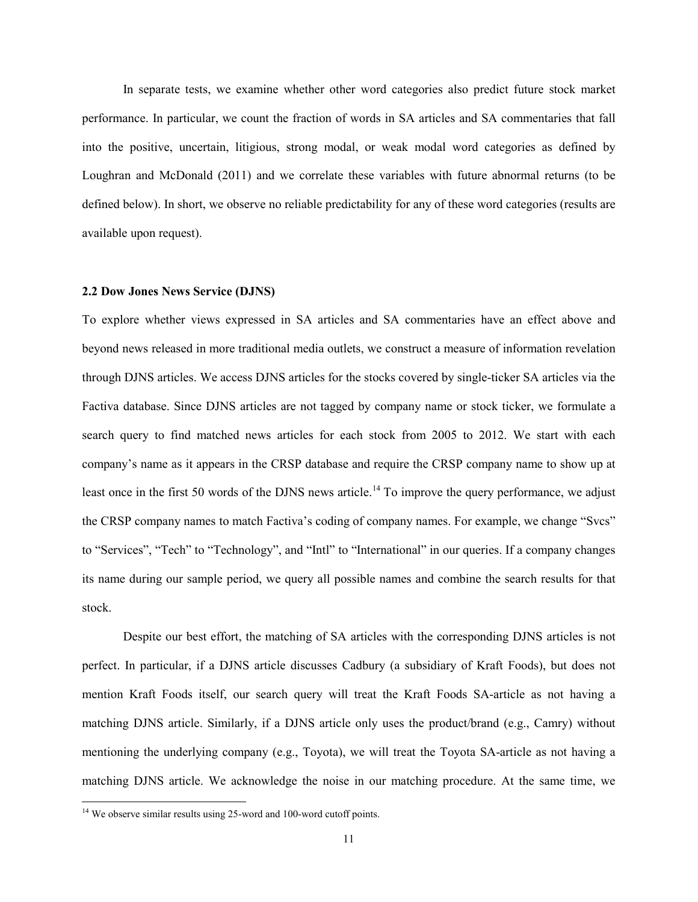In separate tests, we examine whether other word categories also predict future stock market performance. In particular, we count the fraction of words in SA articles and SA commentaries that fall into the positive, uncertain, litigious, strong modal, or weak modal word categories as defined by Loughran and McDonald (2011) and we correlate these variables with future abnormal returns (to be defined below). In short, we observe no reliable predictability for any of these word categories (results are available upon request).

#### **2.2 Dow Jones News Service (DJNS)**

To explore whether views expressed in SA articles and SA commentaries have an effect above and beyond news released in more traditional media outlets, we construct a measure of information revelation through DJNS articles. We access DJNS articles for the stocks covered by single-ticker SA articles via the Factiva database. Since DJNS articles are not tagged by company name or stock ticker, we formulate a search query to find matched news articles for each stock from 2005 to 2012. We start with each company's name as it appears in the CRSP database and require the CRSP company name to show up at least once in the first 50 words of the DJNS news article.<sup>14</sup> To improve the query performance, we adjust the CRSP company names to match Factiva's coding of company names. For example, we change "Svcs" to "Services", "Tech" to "Technology", and "Intl" to "International" in our queries. If a company changes its name during our sample period, we query all possible names and combine the search results for that stock.

Despite our best effort, the matching of SA articles with the corresponding DJNS articles is not perfect. In particular, if a DJNS article discusses Cadbury (a subsidiary of Kraft Foods), but does not mention Kraft Foods itself, our search query will treat the Kraft Foods SA-article as not having a matching DJNS article. Similarly, if a DJNS article only uses the product/brand (e.g., Camry) without mentioning the underlying company (e.g., Toyota), we will treat the Toyota SA-article as not having a matching DJNS article. We acknowledge the noise in our matching procedure. At the same time, we

<sup>&</sup>lt;sup>14</sup> We observe similar results using 25-word and 100-word cutoff points.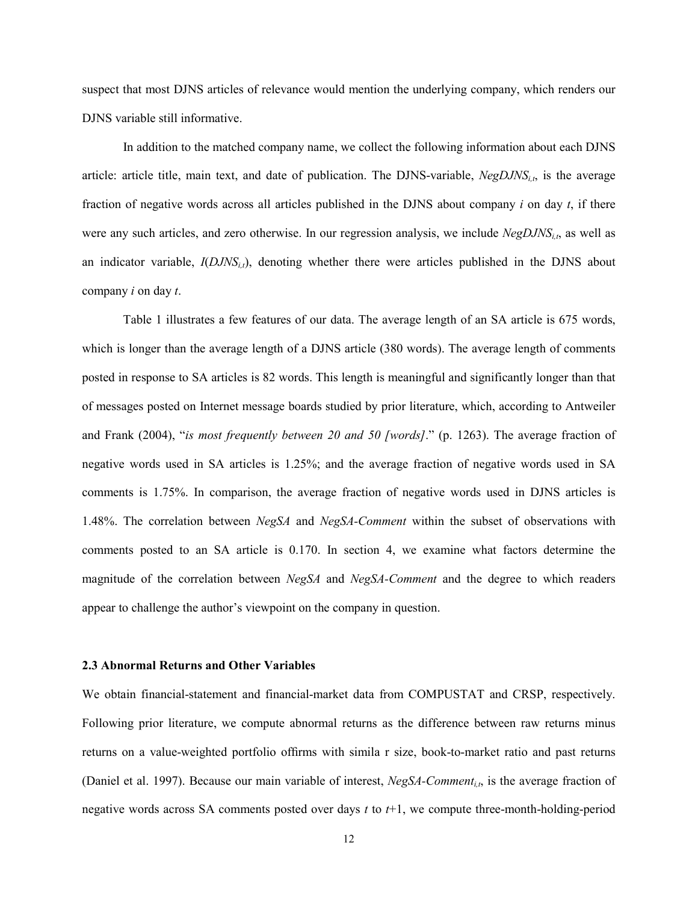suspect that most DJNS articles of relevance would mention the underlying company, which renders our DJNS variable still informative.

In addition to the matched company name, we collect the following information about each DJNS article: article title, main text, and date of publication. The DJNS-variable,  $NegDJNS_{i,t}$ , is the average fraction of negative words across all articles published in the DJNS about company *i* on day *t*, if there were any such articles, and zero otherwise. In our regression analysis, we include *NegDJNS<sub>i,t</sub>*, as well as an indicator variable, *I*(*DJNS<sub>it</sub>*), denoting whether there were articles published in the DJNS about company *i* on day *t*.

Table 1 illustrates a few features of our data. The average length of an SA article is 675 words, which is longer than the average length of a DJNS article (380 words). The average length of comments posted in response to SA articles is 82 words. This length is meaningful and significantly longer than that of messages posted on Internet message boards studied by prior literature, which, according to Antweiler and Frank (2004), "*is most frequently between 20 and 50 [words]*." (p. 1263). The average fraction of negative words used in SA articles is 1.25%; and the average fraction of negative words used in SA comments is 1.75%. In comparison, the average fraction of negative words used in DJNS articles is 1.48%. The correlation between *NegSA* and *NegSA-Comment* within the subset of observations with comments posted to an SA article is 0.170. In section 4, we examine what factors determine the magnitude of the correlation between *NegSA* and *NegSA-Comment* and the degree to which readers appear to challenge the author's viewpoint on the company in question.

# **2.3 Abnormal Returns and Other Variables**

We obtain financial-statement and financial-market data from COMPUSTAT and CRSP, respectively. Following prior literature, we compute abnormal returns as the difference between raw returns minus returns on a value-weighted portfolio of firms with simila r size, book-to-market ratio and past returns (Daniel et al. 1997). Because our main variable of interest, *NegSA-Commenti,t*, is the average fraction of negative words across SA comments posted over days *t* to *t*+1, we compute three-month-holding-period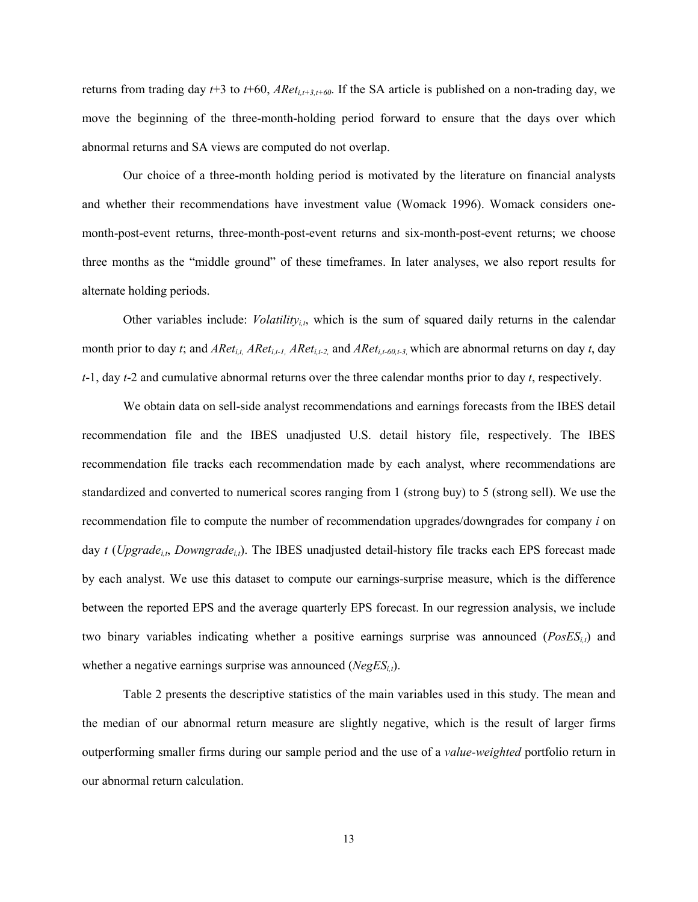returns from trading day  $t+3$  to  $t+60$ , *ARet<sub>i,t+3,t+60*. If the SA article is published on a non-trading day, we</sub> move the beginning of the three-month-holding period forward to ensure that the days over which abnormal returns and SA views are computed do not overlap.

Our choice of a three-month holding period is motivated by the literature on financial analysts and whether their recommendations have investment value (Womack 1996). Womack considers onemonth-post-event returns, three-month-post-event returns and six-month-post-event returns; we choose three months as the "middle ground" of these timeframes. In later analyses, we also report results for alternate holding periods.

Other variables include: *Volatility<sub>i, b</sub>* which is the sum of squared daily returns in the calendar month prior to day *t*; and *AReti,t, AReti,t-1, AReti,t-2,* and *AReti,t-60,t-3,* which are abnormal returns on day *t*, day *t*-1, day *t*-2 and cumulative abnormal returns over the three calendar months prior to day *t*, respectively.

We obtain data on sell-side analyst recommendations and earnings forecasts from the IBES detail recommendation file and the IBES unadjusted U.S. detail history file, respectively. The IBES recommendation file tracks each recommendation made by each analyst, where recommendations are standardized and converted to numerical scores ranging from 1 (strong buy) to 5 (strong sell). We use the recommendation file to compute the number of recommendation upgrades/downgrades for company *i* on day *t* (*Upgrade<sub>it</sub>*, *Downgrade<sub>it</sub>*). The IBES unadjusted detail-history file tracks each EPS forecast made by each analyst. We use this dataset to compute our earnings-surprise measure, which is the difference between the reported EPS and the average quarterly EPS forecast. In our regression analysis, we include two binary variables indicating whether a positive earnings surprise was announced (*PosESi,t*) and whether a negative earnings surprise was announced  $(NegES_{i,t})$ .

Table 2 presents the descriptive statistics of the main variables used in this study. The mean and the median of our abnormal return measure are slightly negative, which is the result of larger firms outperforming smaller firms during our sample period and the use of a *value-weighted* portfolio return in our abnormal return calculation.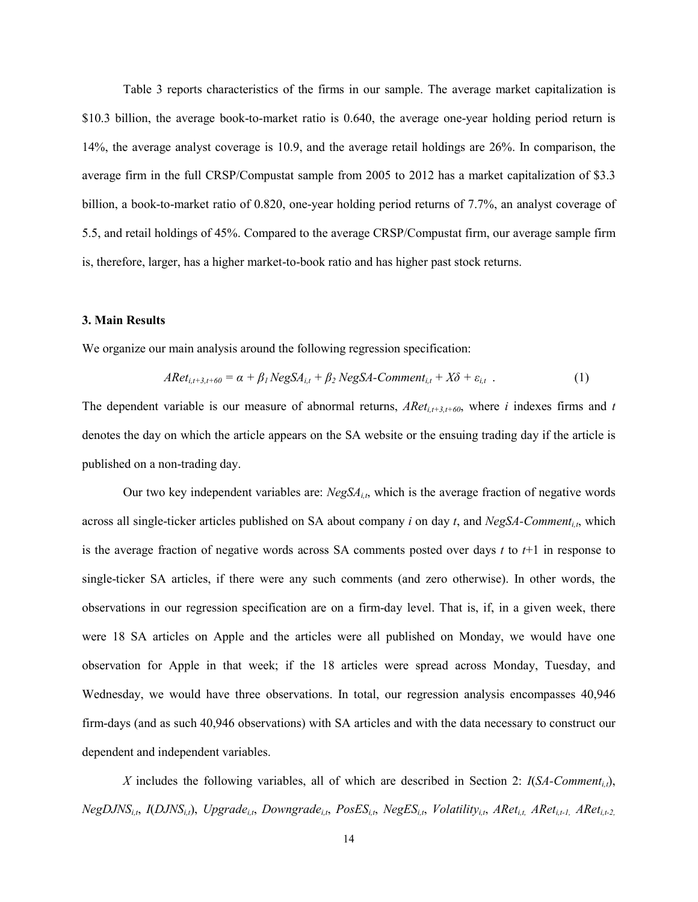Table 3 reports characteristics of the firms in our sample. The average market capitalization is \$10.3 billion, the average book-to-market ratio is 0.640, the average one-year holding period return is 14%, the average analyst coverage is 10.9, and the average retail holdings are 26%. In comparison, the average firm in the full CRSP/Compustat sample from 2005 to 2012 has a market capitalization of \$3.3 billion, a book-to-market ratio of 0.820, one-year holding period returns of 7.7%, an analyst coverage of 5.5, and retail holdings of 45%. Compared to the average CRSP/Compustat firm, our average sample firm is, therefore, larger, has a higher market-to-book ratio and has higher past stock returns.

# **3. Main Results**

We organize our main analysis around the following regression specification:

$$
ARet_{i,t+3,t+60} = \alpha + \beta_1 NegSA_{i,t} + \beta_2 NegSA-Comment_{i,t} + X\delta + \varepsilon_{i,t} \tag{1}
$$

The dependent variable is our measure of abnormal returns,  $ARet_{i,t+3,t+60}$ , where *i* indexes firms and *t* denotes the day on which the article appears on the SA website or the ensuing trading day if the article is published on a non-trading day.

Our two key independent variables are:  $NegSA_{i,t}$ , which is the average fraction of negative words across all single-ticker articles published on SA about company *i* on day *t*, and *NegSA-Comment<sub>it</sub>*, which is the average fraction of negative words across SA comments posted over days *t* to *t*+1 in response to single-ticker SA articles, if there were any such comments (and zero otherwise). In other words, the observations in our regression specification are on a firm-day level. That is, if, in a given week, there were 18 SA articles on Apple and the articles were all published on Monday, we would have one observation for Apple in that week; if the 18 articles were spread across Monday, Tuesday, and Wednesday, we would have three observations. In total, our regression analysis encompasses 40,946 firm-days (and as such 40,946 observations) with SA articles and with the data necessary to construct our dependent and independent variables.

X includes the following variables, all of which are described in Section 2:  $I(SA-Comment_{i,t})$ , *NegDJNSi,t*, *I*(*DJNSi,t*), *Upgradei,t*, *Downgradei,t*, *PosESi,t*, *NegESi,t*, *Volatilityi,t*, *AReti,t, AReti,t-1, AReti,t-2,*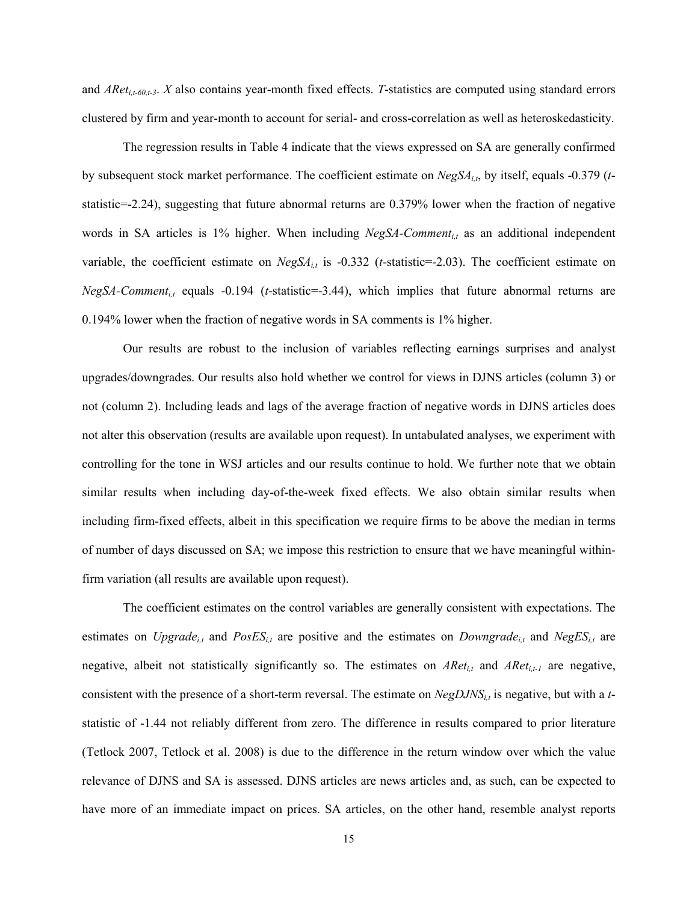and *AReti,t-60,t-3*. *X* also contains year-month fixed effects. *T*-statistics are computed using standard errors clustered by firm and year-month to account for serial- and cross-correlation as well as heteroskedasticity.

The regression results in Table 4 indicate that the views expressed on SA are generally confirmed by subsequent stock market performance. The coefficient estimate on  $NegSA_{i,t}$ , by itself, equals -0.379 (*t*statistic=-2.24), suggesting that future abnormal returns are 0.379% lower when the fraction of negative words in SA articles is 1% higher. When including *NegSA-Comment<sub>it</sub>* as an additional independent variable, the coefficient estimate on  $NegSA_{i,t}$  is -0.332 (*t*-statistic=-2.03). The coefficient estimate on *NegSA-Comment<sub>i,t</sub>* equals -0.194 (*t*-statistic=-3.44), which implies that future abnormal returns are 0.194% lower when the fraction of negative words in SA comments is 1% higher.

Our results are robust to the inclusion of variables reflecting earnings surprises and analyst upgrades/downgrades. Our results also hold whether we control for views in DJNS articles (column 3) or not (column 2). Including leads and lags of the average fraction of negative words in DJNS articles does not alter this observation (results are available upon request). In untabulated analyses, we experiment with controlling for the tone in WSJ articles and our results continue to hold. We further note that we obtain similar results when including day-of-the-week fixed effects. We also obtain similar results when including firm-fixed effects, albeit in this specification we require firms to be above the median in terms of number of days discussed on SA; we impose this restriction to ensure that we have meaningful withinfirm variation (all results are available upon request).

The coefficient estimates on the control variables are generally consistent with expectations. The estimates on *Upgrade<sub>i,t</sub>* and  $PosES_{i,t}$  are positive and the estimates on *Downgrade<sub>i,t</sub>* and  $NegES_{i,t}$  are negative, albeit not statistically significantly so. The estimates on  $ARet_{i,t}$  and  $ARet_{i,t-1}$  are negative, consistent with the presence of a short-term reversal. The estimate on *NegDJNS<sub>i,t</sub>* is negative, but with a *t*statistic of -1.44 not reliably different from zero. The difference in results compared to prior literature (Tetlock 2007, Tetlock et al. 2008) is due to the difference in the return window over which the value relevance of DJNS and SA is assessed. DJNS articles are news articles and, as such, can be expected to have more of an immediate impact on prices. SA articles, on the other hand, resemble analyst reports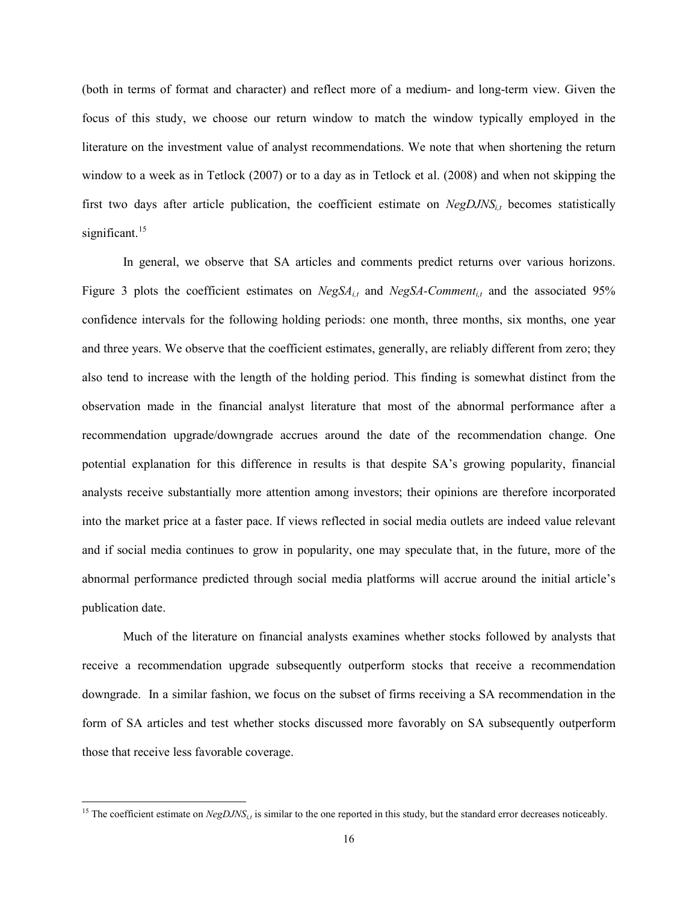(both in terms of format and character) and reflect more of a medium- and long-term view. Given the focus of this study, we choose our return window to match the window typically employed in the literature on the investment value of analyst recommendations. We note that when shortening the return window to a week as in Tetlock (2007) or to a day as in Tetlock et al. (2008) and when not skipping the first two days after article publication, the coefficient estimate on *NegDJNS<sub>it</sub>* becomes statistically significant.<sup>15</sup>

In general, we observe that SA articles and comments predict returns over various horizons. Figure 3 plots the coefficient estimates on *NegSA<sub>it</sub>* and *NegSA-Comment<sub>it</sub>* and the associated 95% confidence intervals for the following holding periods: one month, three months, six months, one year and three years. We observe that the coefficient estimates, generally, are reliably different from zero; they also tend to increase with the length of the holding period. This finding is somewhat distinct from the observation made in the financial analyst literature that most of the abnormal performance after a recommendation upgrade/downgrade accrues around the date of the recommendation change. One potential explanation for this difference in results is that despite SA's growing popularity, financial analysts receive substantially more attention among investors; their opinions are therefore incorporated into the market price at a faster pace. If views reflected in social media outlets are indeed value relevant and if social media continues to grow in popularity, one may speculate that, in the future, more of the abnormal performance predicted through social media platforms will accrue around the initial article's publication date.

Much of the literature on financial analysts examines whether stocks followed by analysts that receive a recommendation upgrade subsequently outperform stocks that receive a recommendation downgrade. In a similar fashion, we focus on the subset of firms receiving a SA recommendation in the form of SA articles and test whether stocks discussed more favorably on SA subsequently outperform those that receive less favorable coverage.

<sup>&</sup>lt;sup>15</sup> The coefficient estimate on  $NegDJNS_{i,t}$  is similar to the one reported in this study, but the standard error decreases noticeably.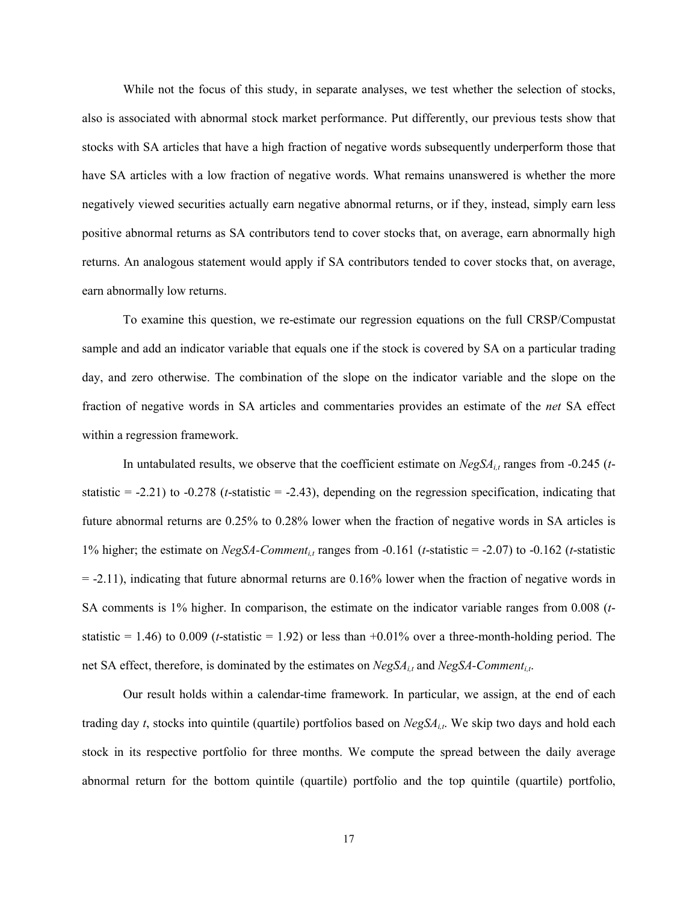While not the focus of this study, in separate analyses, we test whether the selection of stocks, also is associated with abnormal stock market performance. Put differently, our previous tests show that stocks with SA articles that have a high fraction of negative words subsequently underperform those that have SA articles with a low fraction of negative words. What remains unanswered is whether the more negatively viewed securities actually earn negative abnormal returns, or if they, instead, simply earn less positive abnormal returns as SA contributors tend to cover stocks that, on average, earn abnormally high returns. An analogous statement would apply if SA contributors tended to cover stocks that, on average, earn abnormally low returns.

To examine this question, we re-estimate our regression equations on the full CRSP/Compustat sample and add an indicator variable that equals one if the stock is covered by SA on a particular trading day, and zero otherwise. The combination of the slope on the indicator variable and the slope on the fraction of negative words in SA articles and commentaries provides an estimate of the *net* SA effect within a regression framework.

In untabulated results, we observe that the coefficient estimate on *NegSA<sub>i,t</sub>* ranges from -0.245 (*t*statistic  $= -2.21$ ) to  $-0.278$  (*t*-statistic  $= -2.43$ ), depending on the regression specification, indicating that future abnormal returns are 0.25% to 0.28% lower when the fraction of negative words in SA articles is 1% higher; the estimate on *NegSA-Commenti,t* ranges from -0.161 (*t*-statistic = -2.07) to -0.162 (*t*-statistic  $= -2.11$ ), indicating that future abnormal returns are 0.16% lower when the fraction of negative words in SA comments is 1% higher. In comparison, the estimate on the indicator variable ranges from 0.008 (*t*statistic = 1.46) to 0.009 (*t*-statistic = 1.92) or less than +0.01% over a three-month-holding period. The net SA effect, therefore, is dominated by the estimates on *NegSAi,t* and *NegSA-Commenti,t*.

Our result holds within a calendar-time framework. In particular, we assign, at the end of each trading day *t*, stocks into quintile (quartile) portfolios based on  $NegSA_{i,t}$ . We skip two days and hold each stock in its respective portfolio for three months. We compute the spread between the daily average abnormal return for the bottom quintile (quartile) portfolio and the top quintile (quartile) portfolio,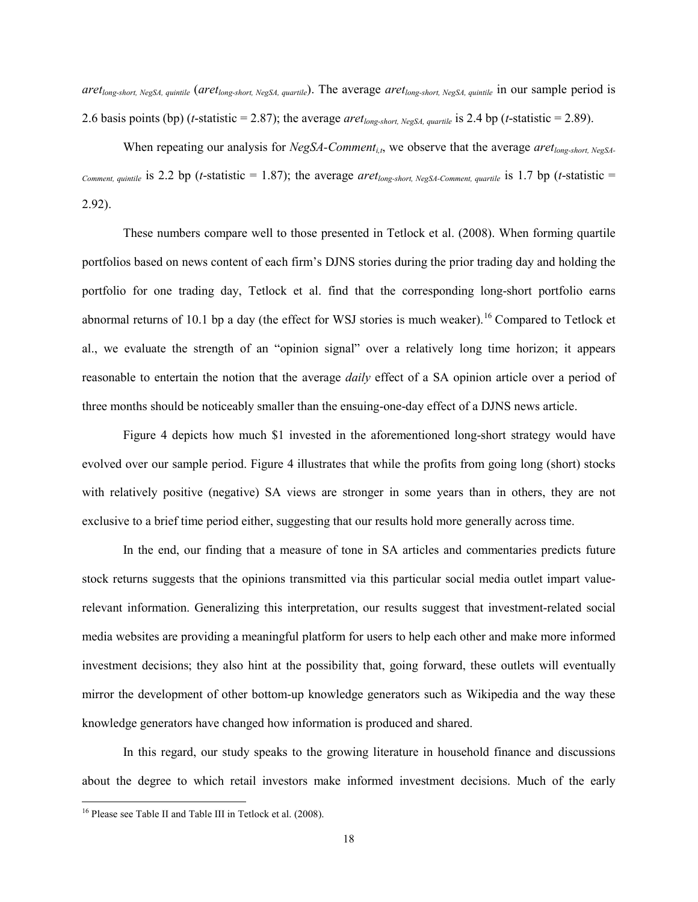*aretlong-short, NegSA, quintile* (*aretlong-short, NegSA, quartile*). The average *aretlong-short, NegSA, quintile* in our sample period is 2.6 basis points (bp) (*t*-statistic = 2.87); the average *aret<sub>long-short*, NegSA, quartile is 2.4 bp (*t*-statistic = 2.89).</sub>

When repeating our analysis for *NegSA-Comment<sub>i,t</sub>*, we observe that the average *aret<sub>long-short, NegSA*-</sub> *Comment, quintile* is 2.2 bp (*t*-statistic = 1.87); the average *aret<sub>long-short, NegSA-Comment, quartile* is 1.7 bp (*t*-statistic =</sub> 2.92).

These numbers compare well to those presented in Tetlock et al. (2008). When forming quartile portfolios based on news content of each firm's DJNS stories during the prior trading day and holding the portfolio for one trading day, Tetlock et al. find that the corresponding long-short portfolio earns abnormal returns of 10.1 bp a day (the effect for WSJ stories is much weaker).<sup>16</sup> Compared to Tetlock et al., we evaluate the strength of an "opinion signal" over a relatively long time horizon; it appears reasonable to entertain the notion that the average *daily* effect of a SA opinion article over a period of three months should be noticeably smaller than the ensuing-one-day effect of a DJNS news article.

Figure 4 depicts how much \$1 invested in the aforementioned long-short strategy would have evolved over our sample period. Figure 4 illustrates that while the profits from going long (short) stocks with relatively positive (negative) SA views are stronger in some years than in others, they are not exclusive to a brief time period either, suggesting that our results hold more generally across time.

In the end, our finding that a measure of tone in SA articles and commentaries predicts future stock returns suggests that the opinions transmitted via this particular social media outlet impart valuerelevant information. Generalizing this interpretation, our results suggest that investment-related social media websites are providing a meaningful platform for users to help each other and make more informed investment decisions; they also hint at the possibility that, going forward, these outlets will eventually mirror the development of other bottom-up knowledge generators such as Wikipedia and the way these knowledge generators have changed how information is produced and shared.

In this regard, our study speaks to the growing literature in household finance and discussions about the degree to which retail investors make informed investment decisions. Much of the early

<sup>16</sup> Please see Table II and Table III in Tetlock et al. (2008).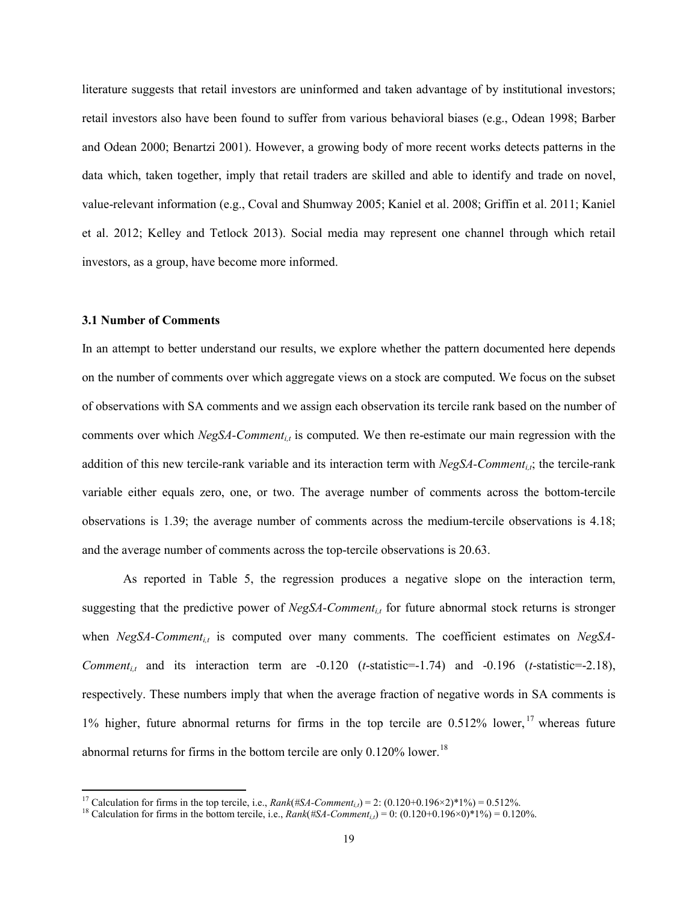literature suggests that retail investors are uninformed and taken advantage of by institutional investors; retail investors also have been found to suffer from various behavioral biases (e.g., Odean 1998; Barber and Odean 2000; Benartzi 2001). However, a growing body of more recent works detects patterns in the data which, taken together, imply that retail traders are skilled and able to identify and trade on novel, value-relevant information (e.g., Coval and Shumway 2005; Kaniel et al. 2008; Griffin et al. 2011; Kaniel et al. 2012; Kelley and Tetlock 2013). Social media may represent one channel through which retail investors, as a group, have become more informed.

# **3.1 Number of Comments**

 $\overline{\phantom{0}}$ 

In an attempt to better understand our results, we explore whether the pattern documented here depends on the number of comments over which aggregate views on a stock are computed. We focus on the subset of observations with SA comments and we assign each observation its tercile rank based on the number of comments over which *NegSA-Comment<sub>i,t</sub>* is computed. We then re-estimate our main regression with the addition of this new tercile-rank variable and its interaction term with *NegSA-Comment<sub>i,t</sub>*; the tercile-rank variable either equals zero, one, or two. The average number of comments across the bottom-tercile observations is 1.39; the average number of comments across the medium-tercile observations is 4.18; and the average number of comments across the top-tercile observations is 20.63.

As reported in Table 5, the regression produces a negative slope on the interaction term, suggesting that the predictive power of *NegSA-Comment<sub>i,t</sub>* for future abnormal stock returns is stronger when *NegSA-Comment<sub>it</sub>* is computed over many comments. The coefficient estimates on *NegSA*-*Comment<sub>it</sub>* and its interaction term are  $-0.120$  (*t*-statistic=-1.74) and  $-0.196$  (*t*-statistic=-2.18), respectively. These numbers imply that when the average fraction of negative words in SA comments is 1% higher, future abnormal returns for firms in the top tercile are 0.512% lower, <sup>17</sup> whereas future abnormal returns for firms in the bottom tercile are only 0.120% lower.<sup>18</sup>

<sup>&</sup>lt;sup>17</sup> Calculation for firms in the top tercile, i.e., *Rank*(#*SA-Comment<sub>i,t</sub>*) = 2: (0.120+0.196×2)\*1%) = 0.512%.<br><sup>18</sup> Calculation for firms in the bottom tercile, i.e., *Rank*(#*SA-Comment<sub>i,t</sub>*) = 0: (0.120+0.196×0)\*1%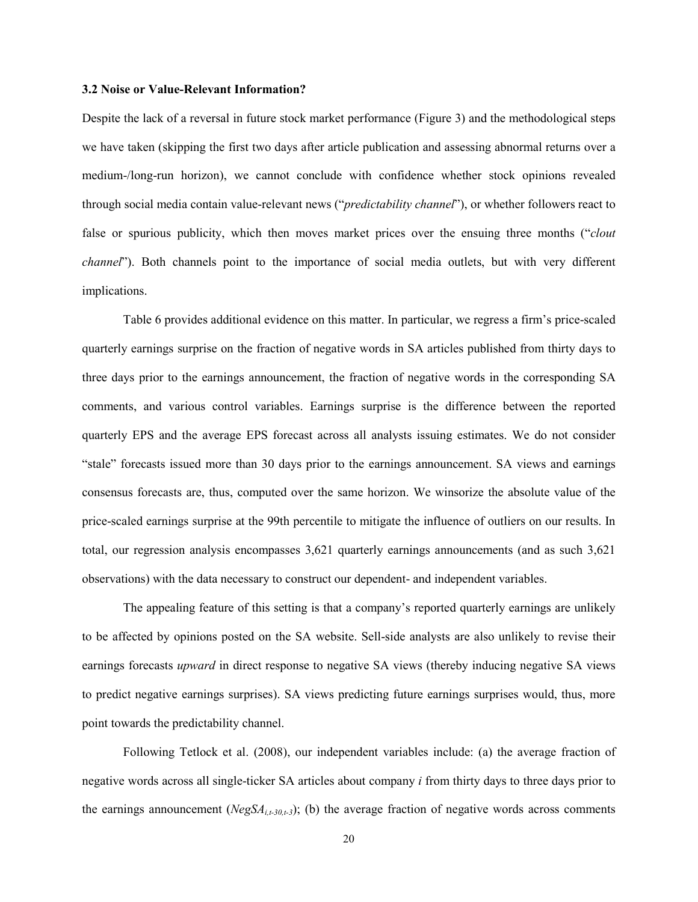#### **3.2 Noise or Value-Relevant Information?**

Despite the lack of a reversal in future stock market performance (Figure 3) and the methodological steps we have taken (skipping the first two days after article publication and assessing abnormal returns over a medium-/long-run horizon), we cannot conclude with confidence whether stock opinions revealed through social media contain value-relevant news ("*predictability channel*"), or whether followers react to false or spurious publicity, which then moves market prices over the ensuing three months ("*clout channel*"). Both channels point to the importance of social media outlets, but with very different implications.

Table 6 provides additional evidence on this matter. In particular, we regress a firm's price-scaled quarterly earnings surprise on the fraction of negative words in SA articles published from thirty days to three days prior to the earnings announcement, the fraction of negative words in the corresponding SA comments, and various control variables. Earnings surprise is the difference between the reported quarterly EPS and the average EPS forecast across all analysts issuing estimates. We do not consider "stale" forecasts issued more than 30 days prior to the earnings announcement. SA views and earnings consensus forecasts are, thus, computed over the same horizon. We winsorize the absolute value of the price-scaled earnings surprise at the 99th percentile to mitigate the influence of outliers on our results. In total, our regression analysis encompasses 3,621 quarterly earnings announcements (and as such 3,621 observations) with the data necessary to construct our dependent- and independent variables.

The appealing feature of this setting is that a company's reported quarterly earnings are unlikely to be affected by opinions posted on the SA website. Sell-side analysts are also unlikely to revise their earnings forecasts *upward* in direct response to negative SA views (thereby inducing negative SA views to predict negative earnings surprises). SA views predicting future earnings surprises would, thus, more point towards the predictability channel.

Following Tetlock et al. (2008), our independent variables include: (a) the average fraction of negative words across all single-ticker SA articles about company *i* from thirty days to three days prior to the earnings announcement ( $NegSA_{i,t-30,t-3}$ ); (b) the average fraction of negative words across comments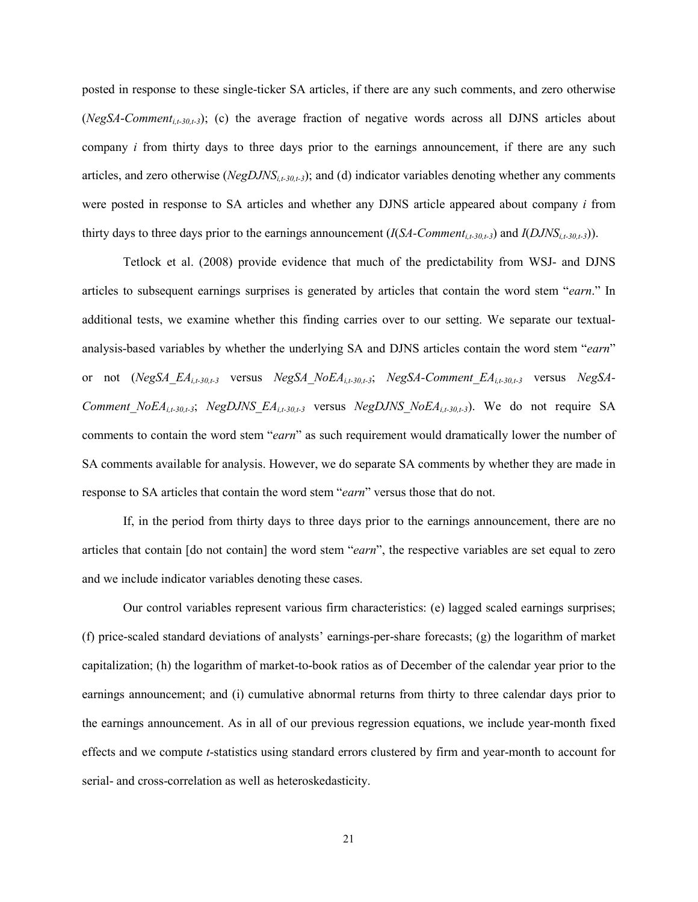posted in response to these single-ticker SA articles, if there are any such comments, and zero otherwise  $(NegSA-Comment_{i,t-30,t-3})$ ; (c) the average fraction of negative words across all DJNS articles about company *i* from thirty days to three days prior to the earnings announcement, if there are any such articles, and zero otherwise ( $NegDJNS<sub>i,t-30,t-3</sub>$ ); and (d) indicator variables denoting whether any comments were posted in response to SA articles and whether any DJNS article appeared about company *i* from thirty days to three days prior to the earnings announcement  $(I(SA-Comment_{i,t-30,t-3})$  and  $I(DJNS_{i,t-30,t-3}))$ .

Tetlock et al. (2008) provide evidence that much of the predictability from WSJ- and DJNS articles to subsequent earnings surprises is generated by articles that contain the word stem "*earn*." In additional tests, we examine whether this finding carries over to our setting. We separate our textualanalysis-based variables by whether the underlying SA and DJNS articles contain the word stem "*earn*" or not (*NegSA\_EAi,t-30,t-3* versus *NegSA\_NoEAi,t-30,t-3*; *NegSA-Comment\_EAi,t-30,t-3* versus *NegSA-Comment\_NoEAi,t-30,t-3*; *NegDJNS\_EAi,t-30,t-3* versus *NegDJNS\_NoEAi,t-30,t-3*). We do not require SA comments to contain the word stem "*earn*" as such requirement would dramatically lower the number of SA comments available for analysis. However, we do separate SA comments by whether they are made in response to SA articles that contain the word stem "*earn*" versus those that do not.

If, in the period from thirty days to three days prior to the earnings announcement, there are no articles that contain [do not contain] the word stem "*earn*", the respective variables are set equal to zero and we include indicator variables denoting these cases.

Our control variables represent various firm characteristics: (e) lagged scaled earnings surprises; (f) price-scaled standard deviations of analysts' earnings-per-share forecasts; (g) the logarithm of market capitalization; (h) the logarithm of market-to-book ratios as of December of the calendar year prior to the earnings announcement; and (i) cumulative abnormal returns from thirty to three calendar days prior to the earnings announcement. As in all of our previous regression equations, we include year-month fixed effects and we compute *t*-statistics using standard errors clustered by firm and year-month to account for serial- and cross-correlation as well as heteroskedasticity.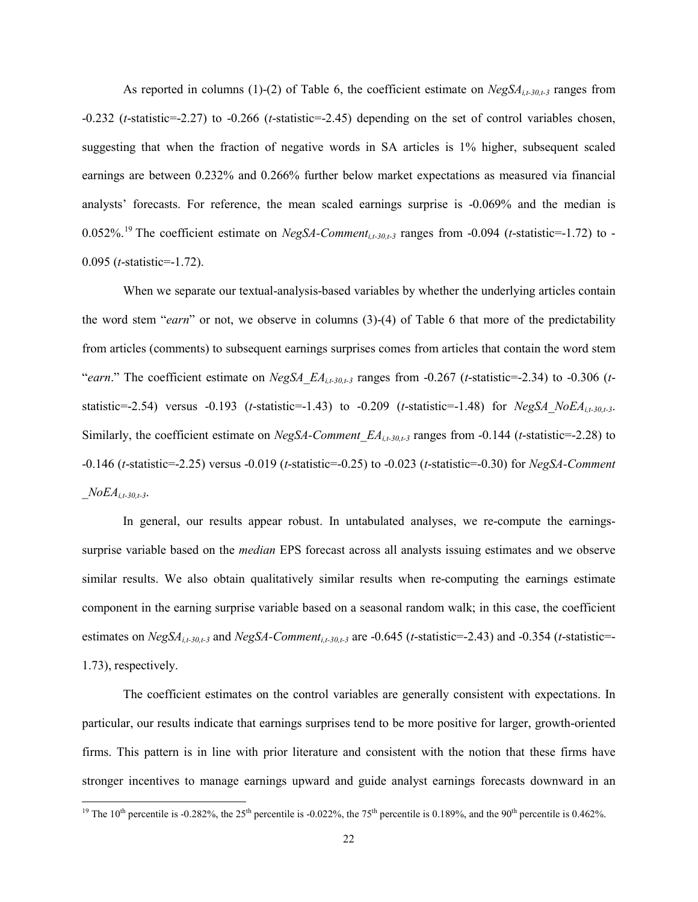As reported in columns (1)-(2) of Table 6, the coefficient estimate on  $NegSA_{i,t-30,t-3}$  ranges from -0.232 (*t*-statistic=-2.27) to -0.266 (*t*-statistic=-2.45) depending on the set of control variables chosen, suggesting that when the fraction of negative words in SA articles is 1% higher, subsequent scaled earnings are between 0.232% and 0.266% further below market expectations as measured via financial analysts' forecasts. For reference, the mean scaled earnings surprise is -0.069% and the median is 0.052%.<sup>19</sup> The coefficient estimate on *NegSA-Comment<sub>i,t-30,t-3*</sub> ranges from -0.094 (*t*-statistic=-1.72) to -0.095 (*t*-statistic=-1.72).

When we separate our textual-analysis-based variables by whether the underlying articles contain the word stem "*earn*" or not, we observe in columns (3)-(4) of Table 6 that more of the predictability from articles (comments) to subsequent earnings surprises comes from articles that contain the word stem "*earn*." The coefficient estimate on *NegSA\_EA<sub>i,t-30,t-3* ranges from -0.267 (*t*-statistic=-2.34) to -0.306 (*t*-</sub> statistic=-2.54) versus -0.193 (*t*-statistic=-1.43) to -0.209 (*t*-statistic=-1.48) for *NegSA\_NoEAi,t-30,t-3*. Similarly, the coefficient estimate on *NegSA-Comment EA<sub>i,t-30,t-3* ranges from -0.144 (*t*-statistic=-2.28) to</sub> -0.146 (*t*-statistic=-2.25) versus -0.019 (*t*-statistic=-0.25) to -0.023 (*t*-statistic=-0.30) for *NegSA-Comment*   $NoEA_{i.t-30,t-3}.$ 

In general, our results appear robust. In untabulated analyses, we re-compute the earningssurprise variable based on the *median* EPS forecast across all analysts issuing estimates and we observe similar results. We also obtain qualitatively similar results when re-computing the earnings estimate component in the earning surprise variable based on a seasonal random walk; in this case, the coefficient estimates on  $NegSA_{i,t-30,t-3}$  and  $NegSA$ -Comment<sub>it-30,t-3</sub> are -0.645 (*t*-statistic=-2.43) and -0.354 (*t*-statistic=-1.73), respectively.

The coefficient estimates on the control variables are generally consistent with expectations. In particular, our results indicate that earnings surprises tend to be more positive for larger, growth-oriented firms. This pattern is in line with prior literature and consistent with the notion that these firms have stronger incentives to manage earnings upward and guide analyst earnings forecasts downward in an

<sup>&</sup>lt;sup>19</sup> The 10<sup>th</sup> percentile is -0.282%, the 25<sup>th</sup> percentile is -0.022%, the 75<sup>th</sup> percentile is 0.189%, and the 90<sup>th</sup> percentile is 0.462%.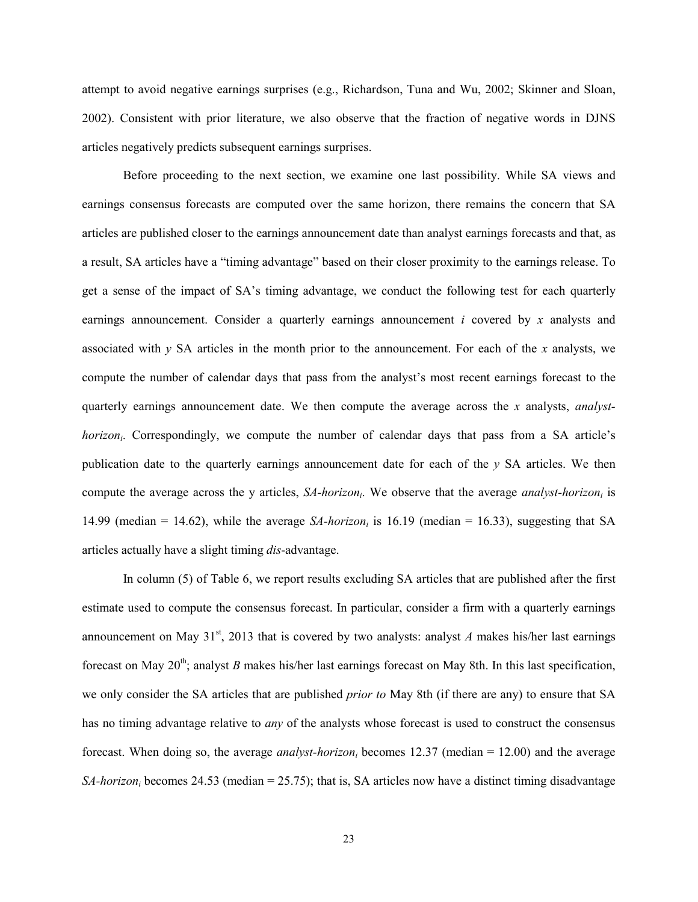attempt to avoid negative earnings surprises (e.g., Richardson, Tuna and Wu, 2002; Skinner and Sloan, 2002). Consistent with prior literature, we also observe that the fraction of negative words in DJNS articles negatively predicts subsequent earnings surprises.

Before proceeding to the next section, we examine one last possibility. While SA views and earnings consensus forecasts are computed over the same horizon, there remains the concern that SA articles are published closer to the earnings announcement date than analyst earnings forecasts and that, as a result, SA articles have a "timing advantage" based on their closer proximity to the earnings release. To get a sense of the impact of SA's timing advantage, we conduct the following test for each quarterly earnings announcement. Consider a quarterly earnings announcement *i* covered by *x* analysts and associated with *y* SA articles in the month prior to the announcement. For each of the *x* analysts, we compute the number of calendar days that pass from the analyst's most recent earnings forecast to the quarterly earnings announcement date. We then compute the average across the *x* analysts, *analysthorizon<sub>i</sub>*. Correspondingly, we compute the number of calendar days that pass from a SA article's publication date to the quarterly earnings announcement date for each of the *y* SA articles. We then compute the average across the y articles, *SA-horizon<sub>i</sub>*. We observe that the average *analyst-horizon<sub>i</sub>* is 14.99 (median = 14.62), while the average *SA-horizon<sub>i</sub>* is 16.19 (median = 16.33), suggesting that SA articles actually have a slight timing *dis*-advantage.

In column (5) of Table 6, we report results excluding SA articles that are published after the first estimate used to compute the consensus forecast. In particular, consider a firm with a quarterly earnings announcement on May  $31<sup>st</sup>$ , 2013 that is covered by two analysts: analyst *A* makes his/her last earnings forecast on May 20<sup>th</sup>; analyst *B* makes his/her last earnings forecast on May 8th. In this last specification, we only consider the SA articles that are published *prior to* May 8th (if there are any) to ensure that SA has no timing advantage relative to *any* of the analysts whose forecast is used to construct the consensus forecast. When doing so, the average *analyst-horizon<sub>i</sub>* becomes 12.37 (median = 12.00) and the average *SA-horizon<sub>i</sub>* becomes 24.53 (median = 25.75); that is, SA articles now have a distinct timing disadvantage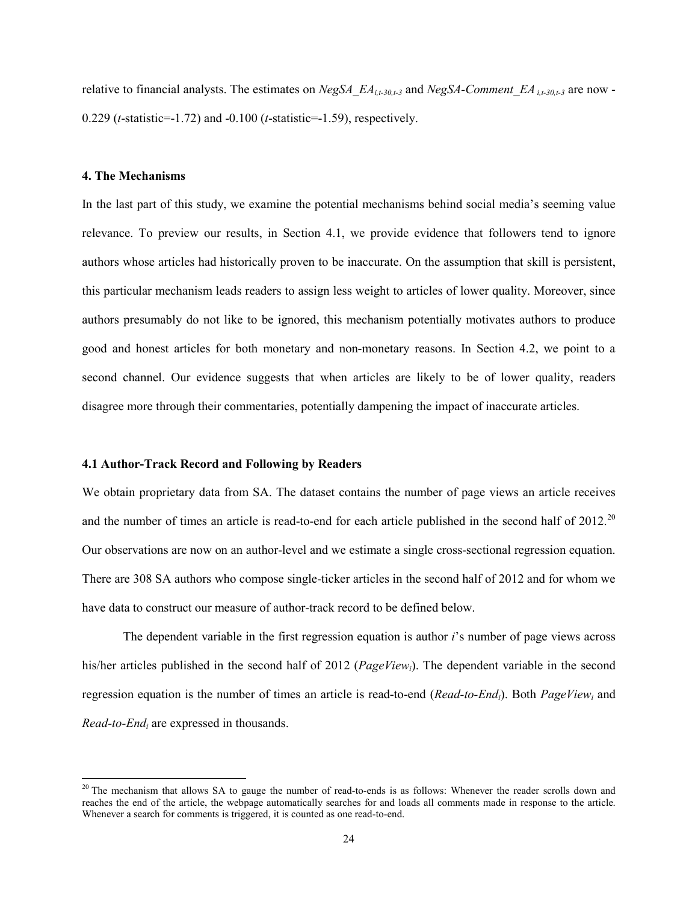relative to financial analysts. The estimates on *NegSA\_EAi,t-30,t-3* and *NegSA-Comment\_EA i,t-30,t-3* are now - 0.229 (*t*-statistic=-1.72) and -0.100 (*t*-statistic=-1.59), respectively.

# **4. The Mechanisms**

 $\overline{\phantom{0}}$ 

In the last part of this study, we examine the potential mechanisms behind social media's seeming value relevance. To preview our results, in Section 4.1, we provide evidence that followers tend to ignore authors whose articles had historically proven to be inaccurate. On the assumption that skill is persistent, this particular mechanism leads readers to assign less weight to articles of lower quality. Moreover, since authors presumably do not like to be ignored, this mechanism potentially motivates authors to produce good and honest articles for both monetary and non-monetary reasons. In Section 4.2, we point to a second channel. Our evidence suggests that when articles are likely to be of lower quality, readers disagree more through their commentaries, potentially dampening the impact of inaccurate articles.

# **4.1 Author-Track Record and Following by Readers**

We obtain proprietary data from SA. The dataset contains the number of page views an article receives and the number of times an article is read-to-end for each article published in the second half of  $2012$ <sup>20</sup> Our observations are now on an author-level and we estimate a single cross-sectional regression equation. There are 308 SA authors who compose single-ticker articles in the second half of 2012 and for whom we have data to construct our measure of author-track record to be defined below.

The dependent variable in the first regression equation is author *i*'s number of page views across his/her articles published in the second half of 2012 (*PageViewi*). The dependent variable in the second regression equation is the number of times an article is read-to-end (*Read-to-Endi*). Both *PageViewi* and *Read-to-Endi* are expressed in thousands.

 $20$  The mechanism that allows SA to gauge the number of read-to-ends is as follows: Whenever the reader scrolls down and reaches the end of the article, the webpage automatically searches for and loads all comments made in response to the article. Whenever a search for comments is triggered, it is counted as one read-to-end.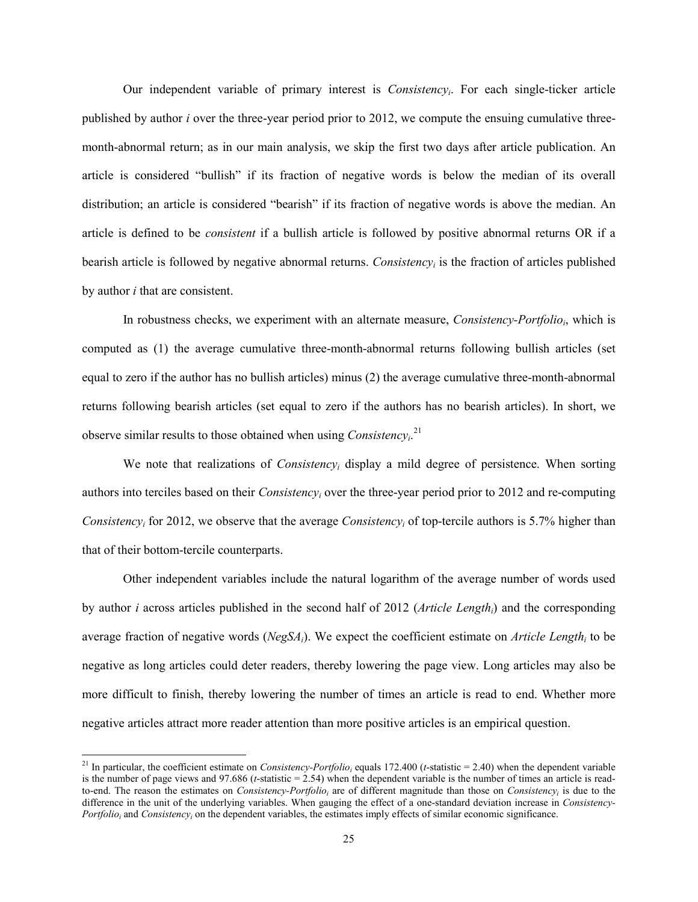Our independent variable of primary interest is *Consistencyi*. For each single-ticker article published by author *i* over the three-year period prior to 2012, we compute the ensuing cumulative threemonth-abnormal return; as in our main analysis, we skip the first two days after article publication. An article is considered "bullish" if its fraction of negative words is below the median of its overall distribution; an article is considered "bearish" if its fraction of negative words is above the median. An article is defined to be *consistent* if a bullish article is followed by positive abnormal returns OR if a bearish article is followed by negative abnormal returns. *Consistencyi* is the fraction of articles published by author *i* that are consistent.

In robustness checks, we experiment with an alternate measure, *Consistency-Portfolio<sub>i</sub>*, which is computed as (1) the average cumulative three-month-abnormal returns following bullish articles (set equal to zero if the author has no bullish articles) minus (2) the average cumulative three-month-abnormal returns following bearish articles (set equal to zero if the authors has no bearish articles). In short, we observe similar results to those obtained when using *Consistency*<sup>21</sup>

We note that realizations of *Consistencyi* display a mild degree of persistence. When sorting authors into terciles based on their *Consistencyi* over the three-year period prior to 2012 and re-computing *Consistencyi* for 2012, we observe that the average *Consistencyi* of top-tercile authors is 5.7% higher than that of their bottom-tercile counterparts.

Other independent variables include the natural logarithm of the average number of words used by author *i* across articles published in the second half of 2012 (*Article Lengthi*) and the corresponding average fraction of negative words (*NegSAi*). We expect the coefficient estimate on *Article Lengthi* to be negative as long articles could deter readers, thereby lowering the page view. Long articles may also be more difficult to finish, thereby lowering the number of times an article is read to end. Whether more negative articles attract more reader attention than more positive articles is an empirical question.

 $\overline{\phantom{0}}$ 

<sup>&</sup>lt;sup>21</sup> In particular, the coefficient estimate on *Consistency-Portfolio<sub>i</sub>* equals 172.400 (*t*-statistic = 2.40) when the dependent variable is the number of page views and 97.686 (*t*-statistic  $= 2.54$ ) when the dependent variable is the number of times an article is readto-end. The reason the estimates on *Consistency-Portfolioi* are of different magnitude than those on *Consistencyi* is due to the difference in the unit of the underlying variables. When gauging the effect of a one-standard deviation increase in *Consistency-Portfolio<sub>i</sub>* and *Consistency<sub>i</sub>* on the dependent variables, the estimates imply effects of similar economic significance.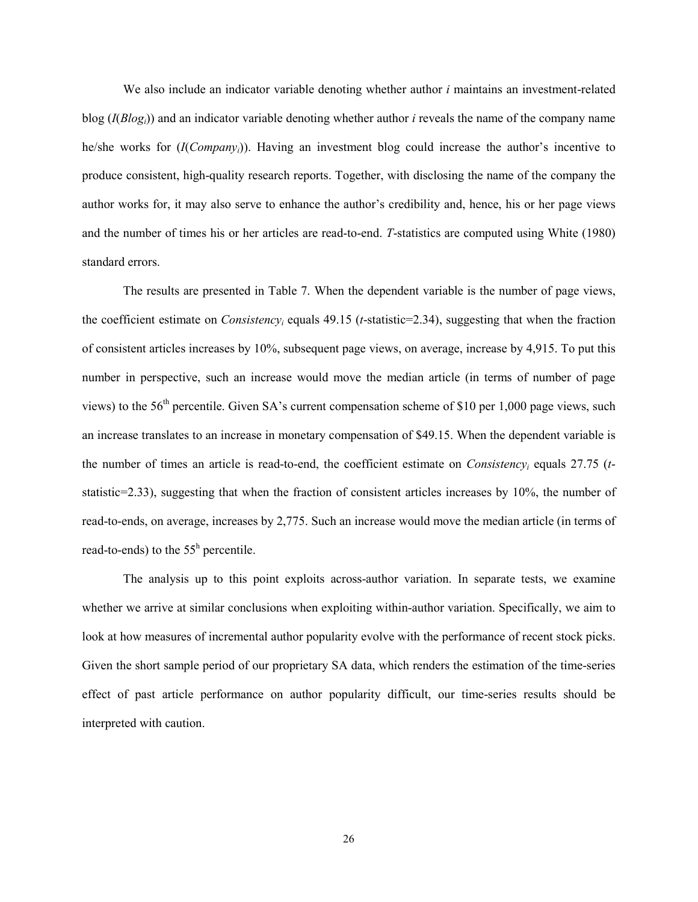We also include an indicator variable denoting whether author *i* maintains an investment-related blog (*I*(*Blogi*)) and an indicator variable denoting whether author *i* reveals the name of the company name he/she works for (*I*(*Companyi*)). Having an investment blog could increase the author's incentive to produce consistent, high-quality research reports. Together, with disclosing the name of the company the author works for, it may also serve to enhance the author's credibility and, hence, his or her page views and the number of times his or her articles are read-to-end. *T*-statistics are computed using White (1980) standard errors.

The results are presented in Table 7. When the dependent variable is the number of page views, the coefficient estimate on *Consistencyi* equals 49.15 (*t*-statistic=2.34), suggesting that when the fraction of consistent articles increases by 10%, subsequent page views, on average, increase by 4,915. To put this number in perspective, such an increase would move the median article (in terms of number of page views) to the  $56<sup>th</sup>$  percentile. Given SA's current compensation scheme of \$10 per 1,000 page views, such an increase translates to an increase in monetary compensation of \$49.15. When the dependent variable is the number of times an article is read-to-end, the coefficient estimate on *Consistencyi* equals 27.75 (*t*statistic=2.33), suggesting that when the fraction of consistent articles increases by 10%, the number of read-to-ends, on average, increases by 2,775. Such an increase would move the median article (in terms of read-to-ends) to the  $55<sup>h</sup>$  percentile.

The analysis up to this point exploits across-author variation. In separate tests, we examine whether we arrive at similar conclusions when exploiting within-author variation. Specifically, we aim to look at how measures of incremental author popularity evolve with the performance of recent stock picks. Given the short sample period of our proprietary SA data, which renders the estimation of the time-series effect of past article performance on author popularity difficult, our time-series results should be interpreted with caution.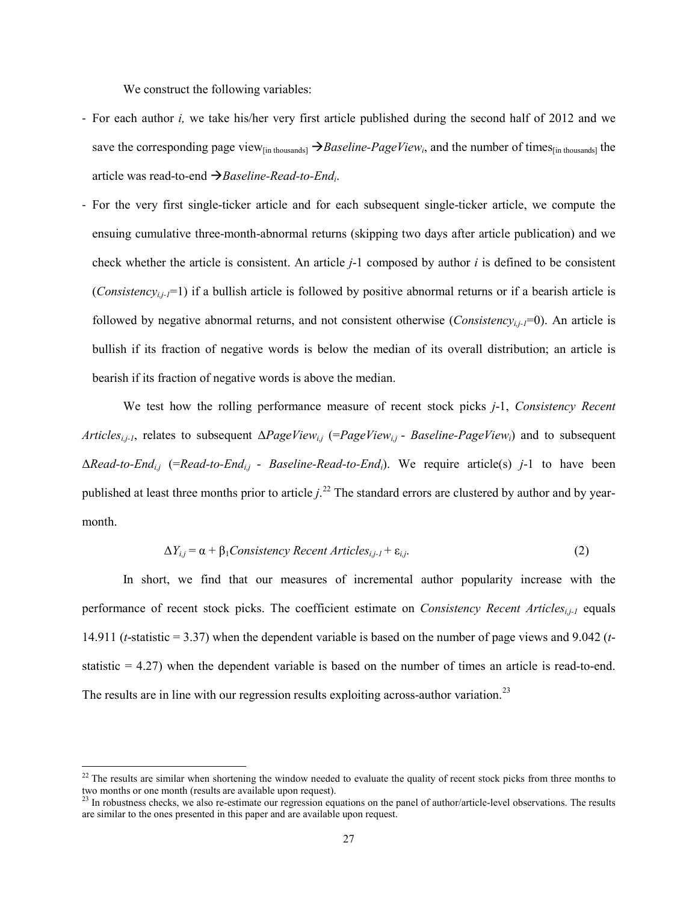We construct the following variables:

- For each author *i,* we take his/her very first article published during the second half of 2012 and we save the corresponding page view<sub>[in thousands]</sub>  $\rightarrow$  *Baseline-PageView<sub>i</sub>*, and the number of times<sub>[in thousands] the</sub> article was read-to-end *Baseline-Read-to-Endi*.
- For the very first single-ticker article and for each subsequent single-ticker article, we compute the ensuing cumulative three-month-abnormal returns (skipping two days after article publication) and we check whether the article is consistent. An article *j*-1 composed by author *i* is defined to be consistent (*Consistency<sub>ii-1</sub>*=1) if a bullish article is followed by positive abnormal returns or if a bearish article is followed by negative abnormal returns, and not consistent otherwise (*Consistency<sub>ij-1</sub>*=0). An article is bullish if its fraction of negative words is below the median of its overall distribution; an article is bearish if its fraction of negative words is above the median.

We test how the rolling performance measure of recent stock picks *j*-1, *Consistency Recent Articles<sub>i,i-1</sub>*, relates to subsequent  $\Delta PageView_{i,j}$  (=*PageView<sub>i,j</sub>* - *Baseline-PageView<sub>i</sub>*) and to subsequent Δ*Read-to-Endi,j* (=*Read-to-Endi,j* - *Baseline-Read-to-Endi*). We require article(s) *j*-1 to have been published at least three months prior to article *j*. 22 The standard errors are clustered by author and by yearmonth.

$$
\Delta Y_{i,j} = \alpha + \beta_1 Consistency Recent Articles_{i,j-1} + \varepsilon_{i,j}.
$$
 (2)

In short, we find that our measures of incremental author popularity increase with the performance of recent stock picks. The coefficient estimate on *Consistency Recent Articles<sub>i,i-1</sub>* equals 14.911 (*t*-statistic = 3.37) when the dependent variable is based on the number of page views and 9.042 (*t*statistic = 4.27) when the dependent variable is based on the number of times an article is read-to-end. The results are in line with our regression results exploiting across-author variation.<sup>23</sup>

<sup>&</sup>lt;sup>22</sup> The results are similar when shortening the window needed to evaluate the quality of recent stock picks from three months to two months or one month (results are available upon request).

<sup>&</sup>lt;sup>23</sup> In robustness checks, we also re-estimate our regression equations on the panel of author/article-level observations. The results are similar to the ones presented in this paper and are available upon request.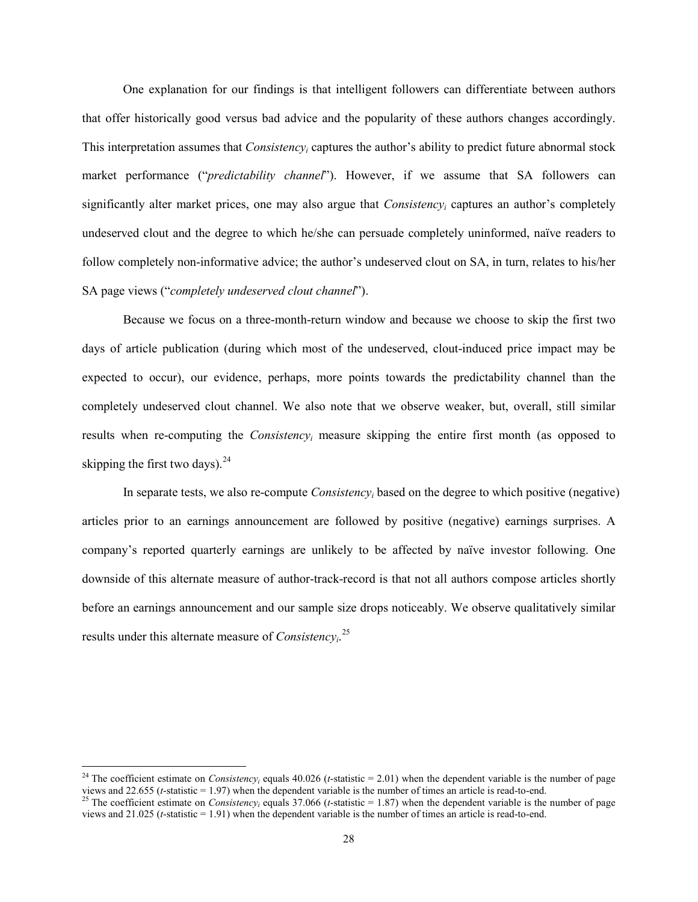One explanation for our findings is that intelligent followers can differentiate between authors that offer historically good versus bad advice and the popularity of these authors changes accordingly. This interpretation assumes that *Consistencyi* captures the author's ability to predict future abnormal stock market performance ("*predictability channel*"). However, if we assume that SA followers can significantly alter market prices, one may also argue that *Consistencyi* captures an author's completely undeserved clout and the degree to which he/she can persuade completely uninformed, naïve readers to follow completely non-informative advice; the author's undeserved clout on SA, in turn, relates to his/her SA page views ("*completely undeserved clout channel*").

Because we focus on a three-month-return window and because we choose to skip the first two days of article publication (during which most of the undeserved, clout-induced price impact may be expected to occur), our evidence, perhaps, more points towards the predictability channel than the completely undeserved clout channel. We also note that we observe weaker, but, overall, still similar results when re-computing the *Consistencyi* measure skipping the entire first month (as opposed to skipping the first two days). $^{24}$ 

In separate tests, we also re-compute *Consistencyi* based on the degree to which positive (negative) articles prior to an earnings announcement are followed by positive (negative) earnings surprises. A company's reported quarterly earnings are unlikely to be affected by naïve investor following. One downside of this alternate measure of author-track-record is that not all authors compose articles shortly before an earnings announcement and our sample size drops noticeably. We observe qualitatively similar results under this alternate measure of *Consistencyi*. 25

<sup>&</sup>lt;sup>24</sup> The coefficient estimate on *Consistency<sub>i</sub>* equals 40.026 (*t*-statistic = 2.01) when the dependent variable is the number of page views and 22.655 (*t*-statistic = 1.97) when the dependent variable is the number of

<sup>&</sup>lt;sup>25</sup> The coefficient estimate on *Consistency*; equals 37.066 (*t*-statistic = 1.87) when the dependent variable is the number of page views and 21.025 (*t*-statistic = 1.91) when the dependent variable is the number of times an article is read-to-end.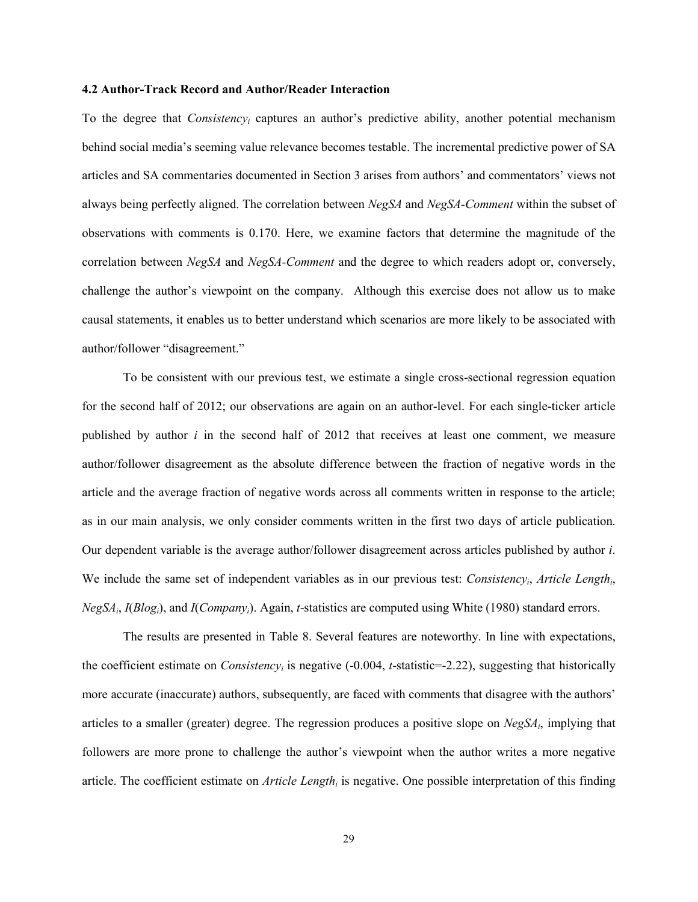#### **4.2 Author-Track Record and Author/Reader Interaction**

To the degree that *Consistencyi* captures an author's predictive ability, another potential mechanism behind social media's seeming value relevance becomes testable. The incremental predictive power of SA articles and SA commentaries documented in Section 3 arises from authors' and commentators' views not always being perfectly aligned. The correlation between *NegSA* and *NegSA-Comment* within the subset of observations with comments is 0.170. Here, we examine factors that determine the magnitude of the correlation between *NegSA* and *NegSA-Comment* and the degree to which readers adopt or, conversely, challenge the author's viewpoint on the company. Although this exercise does not allow us to make causal statements, it enables us to better understand which scenarios are more likely to be associated with author/follower "disagreement."

To be consistent with our previous test, we estimate a single cross-sectional regression equation for the second half of 2012; our observations are again on an author-level. For each single-ticker article published by author *i* in the second half of 2012 that receives at least one comment, we measure author/follower disagreement as the absolute difference between the fraction of negative words in the article and the average fraction of negative words across all comments written in response to the article; as in our main analysis, we only consider comments written in the first two days of article publication. Our dependent variable is the average author/follower disagreement across articles published by author *i*. We include the same set of independent variables as in our previous test: *Consistencyi*, *Article Lengthi*, *NegSAi*, *I*(*Blogi*), and *I*(*Companyi*). Again, *t*-statistics are computed using White (1980) standard errors.

The results are presented in Table 8. Several features are noteworthy. In line with expectations, the coefficient estimate on *Consistency<sub>i</sub>* is negative  $(-0.004, t$ -statistic=-2.22), suggesting that historically more accurate (inaccurate) authors, subsequently, are faced with comments that disagree with the authors' articles to a smaller (greater) degree. The regression produces a positive slope on *NegSAi*, implying that followers are more prone to challenge the author's viewpoint when the author writes a more negative article. The coefficient estimate on *Article Length<sub>i</sub>* is negative. One possible interpretation of this finding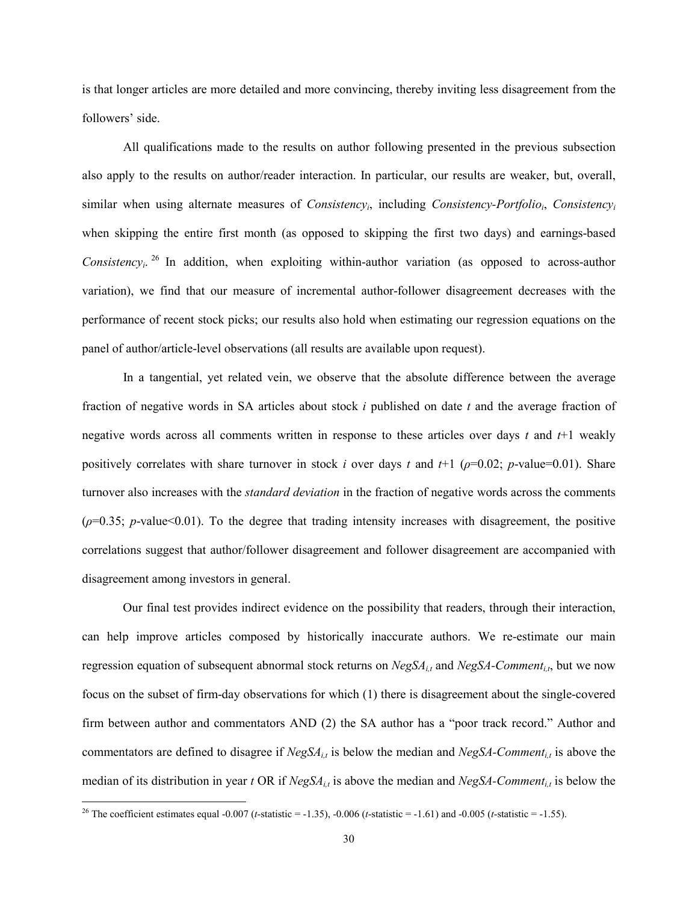is that longer articles are more detailed and more convincing, thereby inviting less disagreement from the followers' side.

All qualifications made to the results on author following presented in the previous subsection also apply to the results on author/reader interaction. In particular, our results are weaker, but, overall, similar when using alternate measures of *Consistencyi*, including *Consistency-Portfolioi*, *Consistencyi* when skipping the entire first month (as opposed to skipping the first two days) and earnings-based Consistency<sub>i</sub>.<sup>26</sup> In addition, when exploiting within-author variation (as opposed to across-author variation), we find that our measure of incremental author-follower disagreement decreases with the performance of recent stock picks; our results also hold when estimating our regression equations on the panel of author/article-level observations (all results are available upon request).

In a tangential, yet related vein, we observe that the absolute difference between the average fraction of negative words in SA articles about stock *i* published on date *t* and the average fraction of negative words across all comments written in response to these articles over days *t* and *t*+1 weakly positively correlates with share turnover in stock *i* over days *t* and  $t+1$  ( $\rho=0.02$ ;  $p$ -value=0.01). Share turnover also increases with the *standard deviation* in the fraction of negative words across the comments  $(\rho=0.35; p-value<0.01)$ . To the degree that trading intensity increases with disagreement, the positive correlations suggest that author/follower disagreement and follower disagreement are accompanied with disagreement among investors in general.

Our final test provides indirect evidence on the possibility that readers, through their interaction, can help improve articles composed by historically inaccurate authors. We re-estimate our main regression equation of subsequent abnormal stock returns on *NegSA<sub>it</sub>* and *NegSA-Comment<sub>it</sub>*, but we now focus on the subset of firm-day observations for which (1) there is disagreement about the single-covered firm between author and commentators AND (2) the SA author has a "poor track record." Author and commentators are defined to disagree if  $NegSA_{it}$  is below the median and  $NegSA-Comment_{it}$  is above the median of its distribution in year *t* OR if *NegSA<sub>i,t</sub>* is above the median and *NegSA-Comment<sub>i,t</sub>* is below the

<sup>26</sup> The coefficient estimates equal -0.007 (*t*-statistic = -1.35), -0.006 (*t*-statistic = -1.61) and -0.005 (*t*-statistic = -1.55).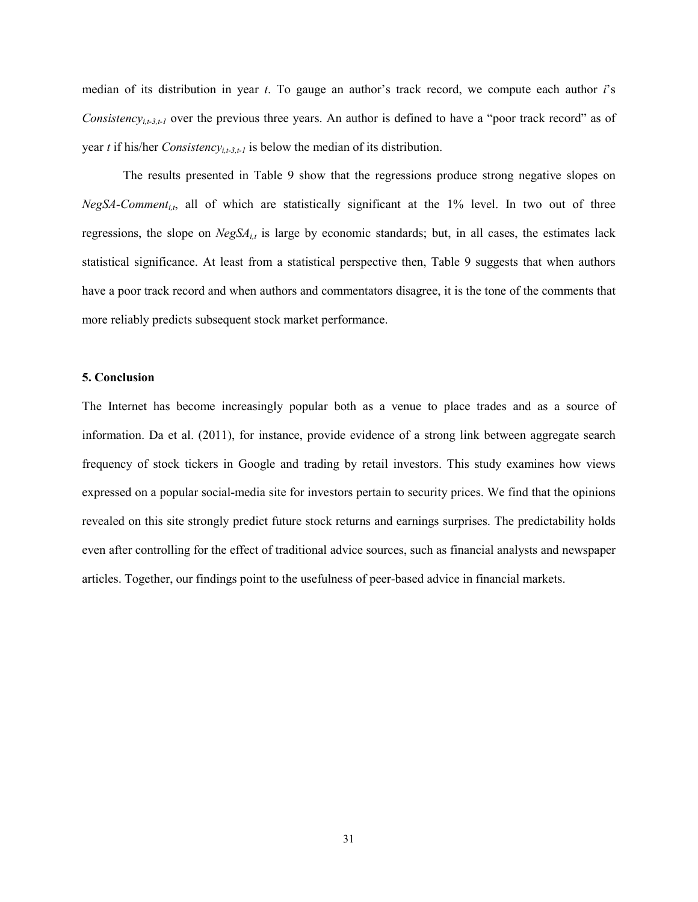median of its distribution in year *t*. To gauge an author's track record, we compute each author *i*'s *Consistency<sub>i,t-3,t-1</sub>* over the previous three years. An author is defined to have a "poor track record" as of year *t* if his/her *Consistency*<sub>*i*,*t*-3,*t*-*I*</sub> is below the median of its distribution.

The results presented in Table 9 show that the regressions produce strong negative slopes on *NegSA-Comment<sub>i,t</sub>*, all of which are statistically significant at the 1% level. In two out of three regressions, the slope on  $NegSA_{i,t}$  is large by economic standards; but, in all cases, the estimates lack statistical significance. At least from a statistical perspective then, Table 9 suggests that when authors have a poor track record and when authors and commentators disagree, it is the tone of the comments that more reliably predicts subsequent stock market performance.

# **5. Conclusion**

The Internet has become increasingly popular both as a venue to place trades and as a source of information. Da et al. (2011), for instance, provide evidence of a strong link between aggregate search frequency of stock tickers in Google and trading by retail investors. This study examines how views expressed on a popular social-media site for investors pertain to security prices. We find that the opinions revealed on this site strongly predict future stock returns and earnings surprises. The predictability holds even after controlling for the effect of traditional advice sources, such as financial analysts and newspaper articles. Together, our findings point to the usefulness of peer-based advice in financial markets.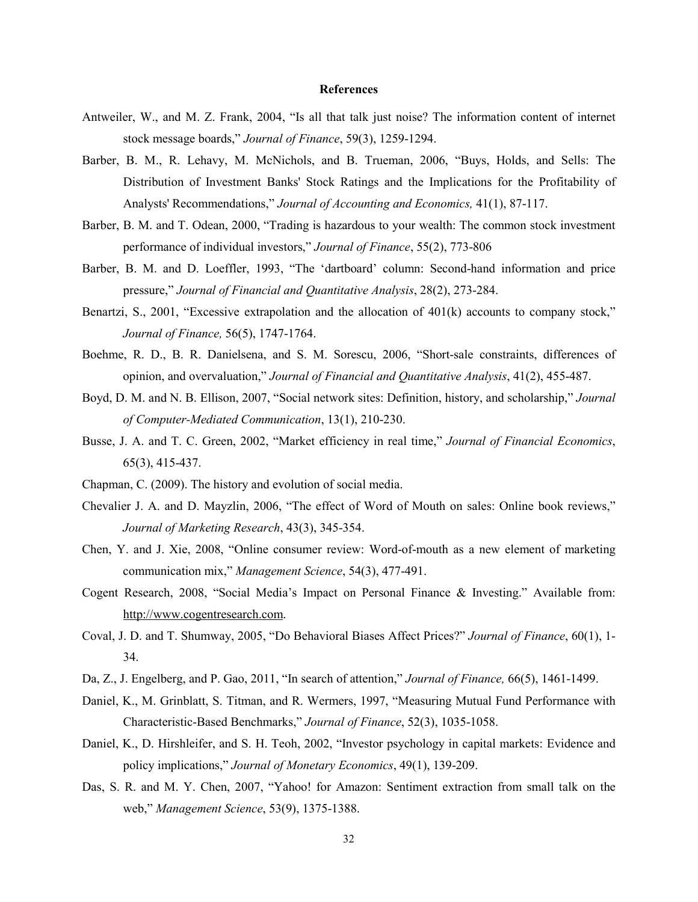#### **References**

- Antweiler, W., and M. Z. Frank, 2004, "Is all that talk just noise? The information content of internet stock message boards," *Journal of Finance*, 59(3), 1259-1294.
- Barber, B. M., R. Lehavy, M. McNichols, and B. Trueman, 2006, "Buys, Holds, and Sells: The Distribution of Investment Banks' Stock Ratings and the Implications for the Profitability of Analysts' Recommendations," *Journal of Accounting and Economics,* 41(1), 87-117.
- Barber, B. M. and T. Odean, 2000, "Trading is hazardous to your wealth: The common stock investment performance of individual investors," *Journal of Finance*, 55(2), 773-806
- Barber, B. M. and D. Loeffler, 1993, "The 'dartboard' column: Second-hand information and price pressure," *Journal of Financial and Quantitative Analysis*, 28(2), 273-284.
- Benartzi, S., 2001, "Excessive extrapolation and the allocation of 401(k) accounts to company stock," *Journal of Finance,* 56(5), 1747-1764.
- Boehme, R. D., B. R. Danielsena, and S. M. Sorescu, 2006, "Short-sale constraints, differences of opinion, and overvaluation," *Journal of Financial and Quantitative Analysis*, 41(2), 455-487.
- Boyd, D. M. and N. B. Ellison, 2007, "Social network sites: Definition, history, and scholarship," *Journal of Computer-Mediated Communication*, 13(1), 210-230.
- Busse, J. A. and T. C. Green, 2002, "Market efficiency in real time," *Journal of Financial Economics*, 65(3), 415-437.
- Chapman, C. (2009). The history and evolution of social media.
- Chevalier J. A. and D. Mayzlin, 2006, "The effect of Word of Mouth on sales: Online book reviews," *Journal of Marketing Research*, 43(3), 345-354.
- Chen, Y. and J. Xie, 2008, "Online consumer review: Word-of-mouth as a new element of marketing communication mix," *Management Science*, 54(3), 477-491.
- Cogent Research, 2008, "Social Media's Impact on Personal Finance & Investing." Available from: [http://www.cogentresearch.com.](http://www.cogentresearch.com/)
- Coval, J. D. and T. Shumway, 2005, "Do Behavioral Biases Affect Prices?" *Journal of Finance*, 60(1), 1- 34.
- Da, Z., J. Engelberg, and P. Gao, 2011, "In search of attention," *Journal of Finance,* 66(5), 1461-1499.
- Daniel, K., M. Grinblatt, S. Titman, and R. Wermers, 1997, "Measuring Mutual Fund Performance with Characteristic-Based Benchmarks," *Journal of Finance*, 52(3), 1035-1058.
- Daniel, K., D. Hirshleifer, and S. H. Teoh, 2002, "Investor psychology in capital markets: Evidence and policy implications," *Journal of Monetary Economics*, 49(1), 139-209.
- Das, S. R. and M. Y. Chen, 2007, "Yahoo! for Amazon: Sentiment extraction from small talk on the web," *Management Science*, 53(9), 1375-1388.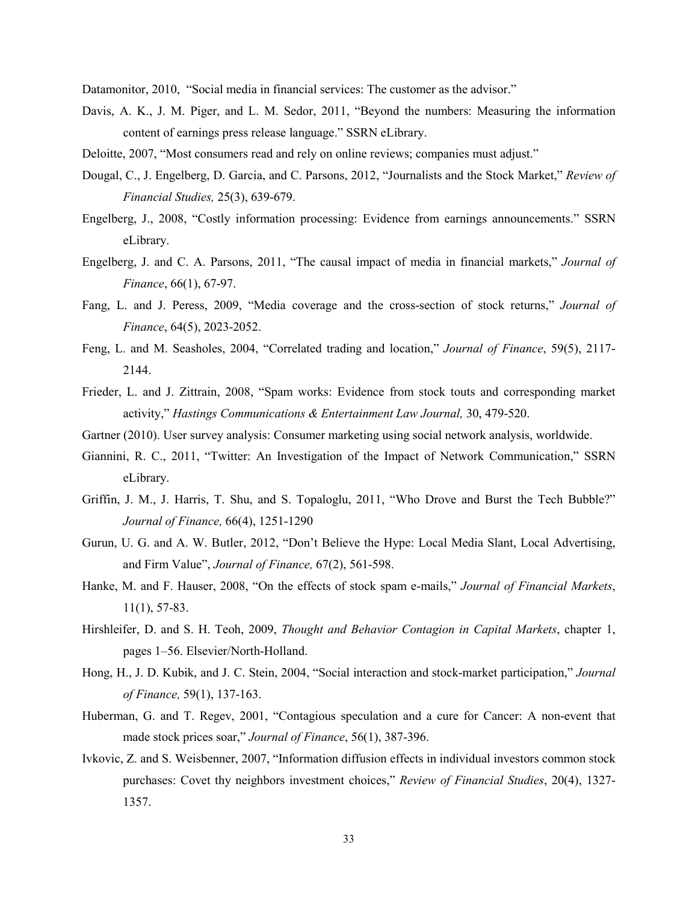Datamonitor, 2010, "Social media in financial services: The customer as the advisor."

- Davis, A. K., J. M. Piger, and L. M. Sedor, 2011, "Beyond the numbers: Measuring the information content of earnings press release language." SSRN eLibrary.
- Deloitte, 2007, "Most consumers read and rely on online reviews; companies must adjust."
- Dougal, C., J. Engelberg, D. Garcia, and C. Parsons, 2012, "Journalists and the Stock Market," *Review of Financial Studies,* 25(3), 639-679.
- Engelberg, J., 2008, "Costly information processing: Evidence from earnings announcements." SSRN eLibrary.
- Engelberg, J. and C. A. Parsons, 2011, "The causal impact of media in financial markets," *Journal of Finance*, 66(1), 67-97.
- Fang, L. and J. Peress, 2009, "Media coverage and the cross-section of stock returns," *Journal of Finance*, 64(5), 2023-2052.
- Feng, L. and M. Seasholes, 2004, "Correlated trading and location," *Journal of Finance*, 59(5), 2117- 2144.
- Frieder, L. and J. Zittrain, 2008, "Spam works: Evidence from stock touts and corresponding market activity," *Hastings Communications & Entertainment Law Journal,* 30, 479-520.
- Gartner (2010). User survey analysis: Consumer marketing using social network analysis, worldwide.
- Giannini, R. C., 2011, "Twitter: An Investigation of the Impact of Network Communication," SSRN eLibrary.
- Griffin, J. M., J. Harris, T. Shu, and S. Topaloglu, 2011, "Who Drove and Burst the Tech Bubble?" *Journal of Finance,* 66(4), 1251-1290
- Gurun, U. G. and A. W. Butler, 2012, "Don't Believe the Hype: Local Media Slant, Local Advertising, and Firm Value", *Journal of Finance,* 67(2), 561-598.
- Hanke, M. and F. Hauser, 2008, "On the effects of stock spam e-mails," *Journal of Financial Markets*, 11(1), 57-83.
- Hirshleifer, D. and S. H. Teoh, 2009, *Thought and Behavior Contagion in Capital Markets*, chapter 1, pages 1–56. Elsevier/North-Holland.
- Hong, H., J. D. Kubik, and J. C. Stein, 2004, "Social interaction and stock-market participation," *Journal of Finance,* 59(1), 137-163.
- Huberman, G. and T. Regev, 2001, "Contagious speculation and a cure for Cancer: A non-event that made stock prices soar," *Journal of Finance*, 56(1), 387-396.
- Ivkovic, Z. and S. Weisbenner, 2007, "Information diffusion effects in individual investors common stock purchases: Covet thy neighbors investment choices," *Review of Financial Studies*, 20(4), 1327- 1357.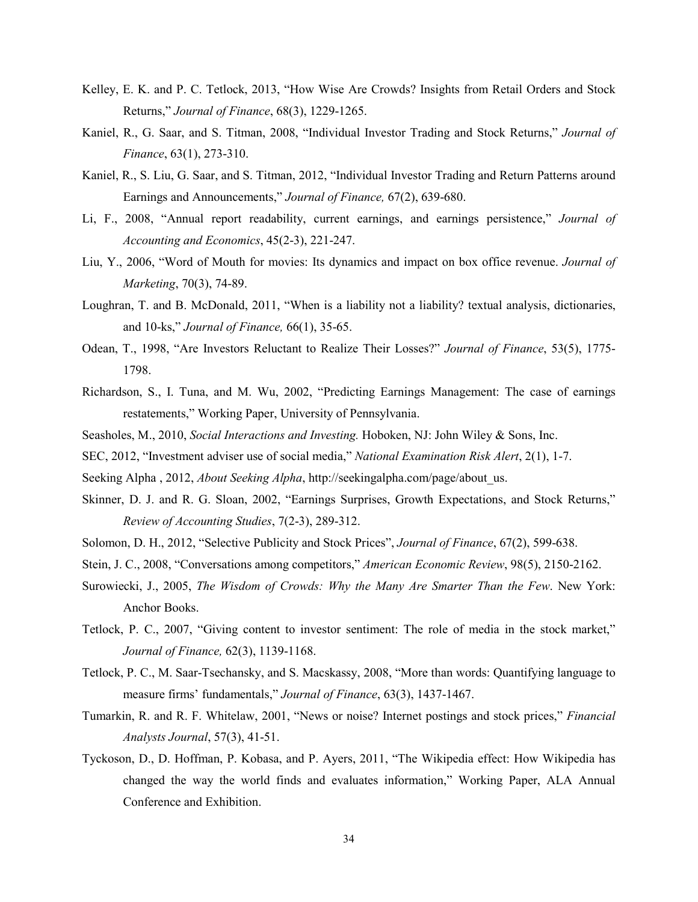- Kelley, E. K. and P. C. Tetlock, 2013, "How Wise Are Crowds? Insights from Retail Orders and Stock Returns," *Journal of Finance*, 68(3), 1229-1265.
- Kaniel, R., G. Saar, and S. Titman, 2008, "Individual Investor Trading and Stock Returns," *Journal of Finance*, 63(1), 273-310.
- Kaniel, R., S. Liu, G. Saar, and S. Titman, 2012, "Individual Investor Trading and Return Patterns around Earnings and Announcements," *Journal of Finance,* 67(2), 639-680.
- Li, F., 2008, "Annual report readability, current earnings, and earnings persistence," *Journal of Accounting and Economics*, 45(2-3), 221-247.
- Liu, Y., 2006, "Word of Mouth for movies: Its dynamics and impact on box office revenue. *Journal of Marketing*, 70(3), 74-89.
- Loughran, T. and B. McDonald, 2011, "When is a liability not a liability? textual analysis, dictionaries, and 10-ks," *Journal of Finance,* 66(1), 35-65.
- Odean, T., 1998, "Are Investors Reluctant to Realize Their Losses?" *Journal of Finance*, 53(5), 1775- 1798.
- Richardson, S., I. Tuna, and M. Wu, 2002, "Predicting Earnings Management: The case of earnings restatements," Working Paper, University of Pennsylvania.
- Seasholes, M., 2010, *Social Interactions and Investing.* Hoboken, NJ: John Wiley & Sons, Inc.
- SEC, 2012, "Investment adviser use of social media," *National Examination Risk Alert*, 2(1), 1-7.
- Seeking Alpha , 2012, *About Seeking Alpha*, http://seekingalpha.com/page/about\_us.
- Skinner, D. J. and R. G. Sloan, 2002, "Earnings Surprises, Growth Expectations, and Stock Returns," *Review of Accounting Studies*, 7(2-3), 289-312.
- Solomon, D. H., 2012, "Selective Publicity and Stock Prices", *Journal of Finance*, 67(2), 599-638.
- Stein, J. C., 2008, "Conversations among competitors," *American Economic Review*, 98(5), 2150-2162.
- Surowiecki, J., 2005, *The Wisdom of Crowds: Why the Many Are Smarter Than the Few*. New York: Anchor Books.
- Tetlock, P. C., 2007, "Giving content to investor sentiment: The role of media in the stock market," *Journal of Finance,* 62(3), 1139-1168.
- Tetlock, P. C., M. Saar-Tsechansky, and S. Macskassy, 2008, "More than words: Quantifying language to measure firms' fundamentals," *Journal of Finance*, 63(3), 1437-1467.
- Tumarkin, R. and R. F. Whitelaw, 2001, "News or noise? Internet postings and stock prices," *Financial Analysts Journal*, 57(3), 41-51.
- Tyckoson, D., D. Hoffman, P. Kobasa, and P. Ayers, 2011, "The Wikipedia effect: How Wikipedia has changed the way the world finds and evaluates information," Working Paper, ALA Annual Conference and Exhibition.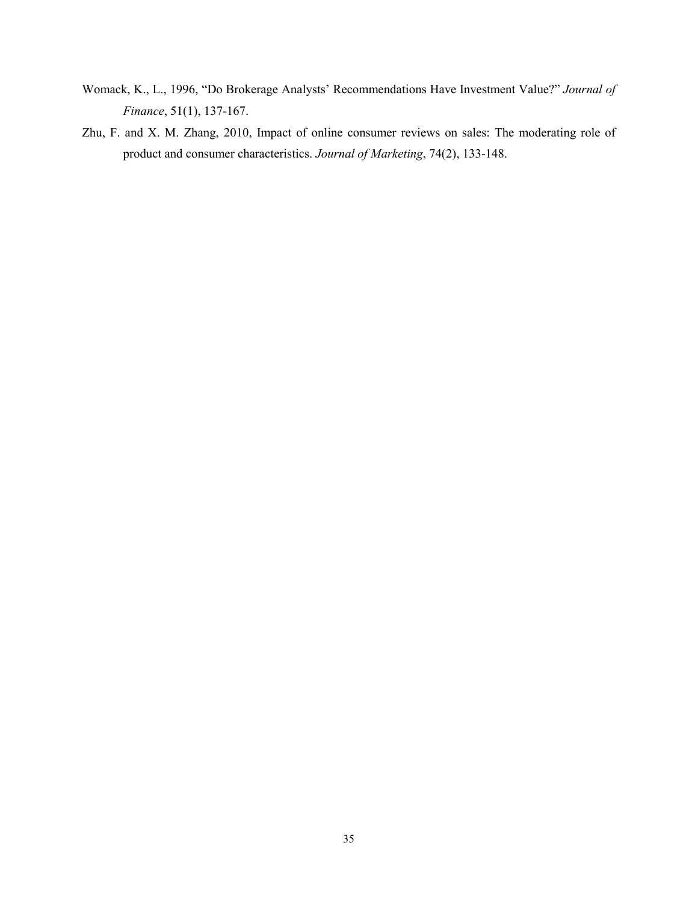- Womack, K., L., 1996, "Do Brokerage Analysts' Recommendations Have Investment Value?" *Journal of Finance*, 51(1), 137-167.
- Zhu, F. and X. M. Zhang, 2010, Impact of online consumer reviews on sales: The moderating role of product and consumer characteristics. *Journal of Marketing*, 74(2), 133-148.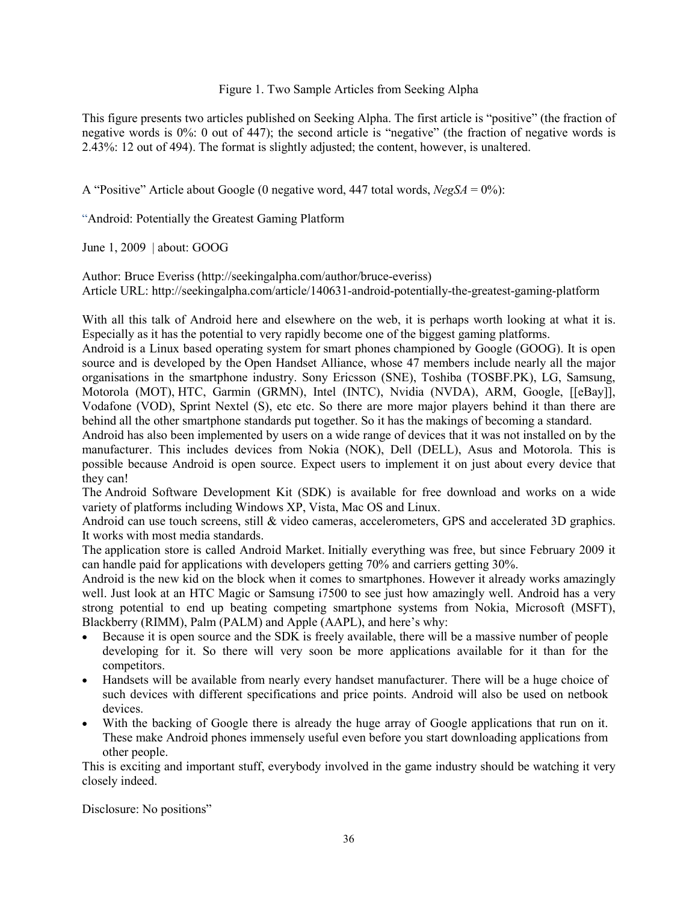# Figure 1. Two Sample Articles from Seeking Alpha

This figure presents two articles published on Seeking Alpha. The first article is "positive" (the fraction of negative words is 0%: 0 out of 447); the second article is "negative" (the fraction of negative words is 2.43%: 12 out of 494). The format is slightly adjusted; the content, however, is unaltered.

A "Positive" Article about Google (0 negative word, 447 total words, *NegSA* = 0%):

"Android: Potentially the Greatest Gaming Platform

June 1, 2009 | about: GOOG

Author: Bruce Everiss (http://seekingalpha.com/author/bruce-everiss) Article URL: http://seekingalpha.com/article/140631-android-potentially-the-greatest-gaming-platform

With all this talk of Android here and elsewhere on the web, it is perhaps worth looking at what it is. Especially as it has the potential to very rapidly become one of the biggest gaming platforms.

Android is a Linux based operating system for smart phones championed by Google (GOOG). It is open source and is developed by the Open Handset Alliance, whose 47 members include nearly all the major organisations in the smartphone industry. Sony Ericsson (SNE), Toshiba (TOSBF.PK), LG, Samsung, Motorola (MOT), HTC, Garmin (GRMN), Intel (INTC), Nvidia (NVDA), ARM, Google, [[eBay]], Vodafone (VOD), Sprint Nextel (S), etc etc. So there are more major players behind it than there are behind all the other smartphone standards put together. So it has the makings of becoming a standard.

Android has also been implemented by users on a wide range of devices that it was not installed on by the manufacturer. This includes devices from Nokia (NOK), Dell (DELL), Asus and Motorola. This is possible because Android is open source. Expect users to implement it on just about every device that they can!

The Android Software Development Kit (SDK) is available for free download and works on a wide variety of platforms including Windows XP, Vista, Mac OS and Linux.

Android can use touch screens, still & video cameras, accelerometers, GPS and accelerated 3D graphics. It works with most media standards.

The application store is called Android Market. Initially everything was free, but since February 2009 it can handle paid for applications with developers getting 70% and carriers getting 30%.

Android is the new kid on the block when it comes to smartphones. However it already works amazingly well. Just look at an HTC Magic or Samsung i7500 to see just how amazingly well. Android has a very strong potential to end up beating competing smartphone systems from Nokia, Microsoft (MSFT), Blackberry (RIMM), Palm (PALM) and Apple (AAPL), and here's why:

- Because it is open source and the SDK is freely available, there will be a massive number of people developing for it. So there will very soon be more applications available for it than for the competitors.
- Handsets will be available from nearly every handset manufacturer. There will be a huge choice of such devices with different specifications and price points. Android will also be used on netbook devices.
- With the backing of Google there is already the huge array of Google applications that run on it. These make Android phones immensely useful even before you start downloading applications from other people.

This is exciting and important stuff, everybody involved in the game industry should be watching it very closely indeed.

Disclosure: No positions"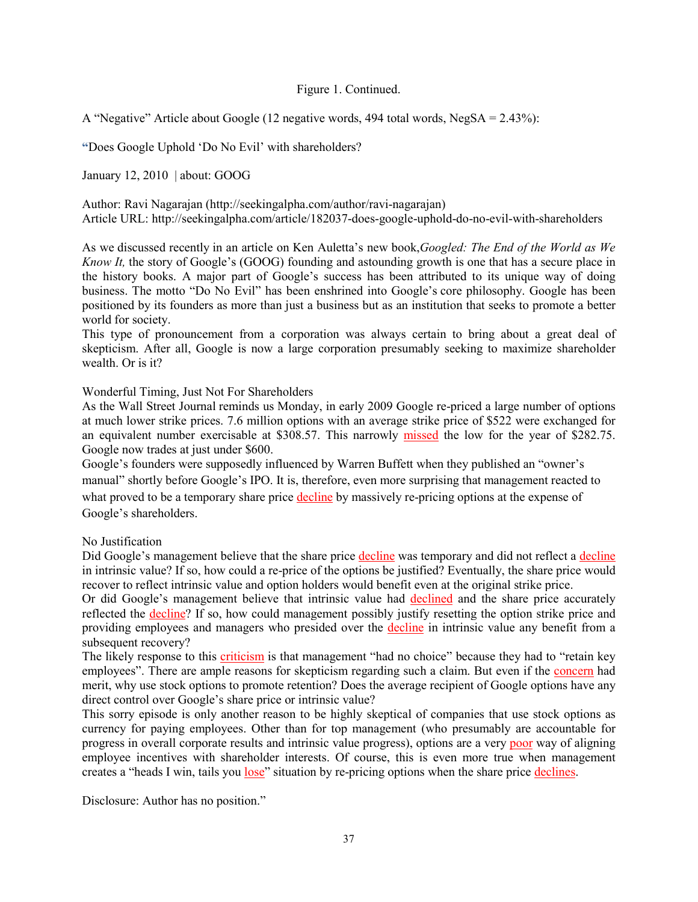# Figure 1. Continued.

A "Negative" Article about Google (12 negative words, 494 total words, NegSA = 2.43%):

**"**Does Google Uphold 'Do No Evil' with shareholders?

January 12, 2010 | about: GOOG

Author: Ravi Nagarajan (http://seekingalpha.com/author/ravi-nagarajan) Article URL: http://seekingalpha.com/article/182037-does-google-uphold-do-no-evil-with-shareholders

As we discussed recently in an article on Ken Auletta's new book,*Googled: The End of the World as We Know It,* the story of Google's (GOOG) founding and astounding growth is one that has a secure place in the history books. A major part of Google's success has been attributed to its unique way of doing business. The motto "Do No Evil" has been enshrined into Google's core philosophy. Google has been positioned by its founders as more than just a business but as an institution that seeks to promote a better world for society.

This type of pronouncement from a corporation was always certain to bring about a great deal of skepticism. After all, Google is now a large corporation presumably seeking to maximize shareholder wealth. Or is it?

Wonderful Timing, Just Not For Shareholders

As the Wall Street Journal reminds us Monday, in early 2009 Google re-priced a large number of options at much lower strike prices. 7.6 million options with an average strike price of \$522 were exchanged for an equivalent number exercisable at \$308.57. This narrowly missed the low for the year of \$282.75. Google now trades at just under \$600.

Google's founders were supposedly influenced by Warren Buffett when they published an "owner's manual" shortly before Google's IPO. It is, therefore, even more surprising that management reacted to what proved to be a temporary share price decline by massively re-pricing options at the expense of Google's shareholders.

### No Justification

Did Google's management believe that the share price decline was temporary and did not reflect a decline in intrinsic value? If so, how could a re-price of the options be justified? Eventually, the share price would recover to reflect intrinsic value and option holders would benefit even at the original strike price.

Or did Google's management believe that intrinsic value had declined and the share price accurately reflected the decline? If so, how could management possibly justify resetting the option strike price and providing employees and managers who presided over the decline in intrinsic value any benefit from a subsequent recovery?

The likely response to this criticism is that management "had no choice" because they had to "retain key employees". There are ample reasons for skepticism regarding such a claim. But even if the concern had merit, why use stock options to promote retention? Does the average recipient of Google options have any direct control over Google's share price or intrinsic value?

This sorry episode is only another reason to be highly skeptical of companies that use stock options as currency for paying employees. Other than for top management (who presumably are accountable for progress in overall corporate results and intrinsic value progress), options are a very poor way of aligning employee incentives with shareholder interests. Of course, this is even more true when management creates a "heads I win, tails you lose" situation by re-pricing options when the share price declines.

Disclosure: Author has no position."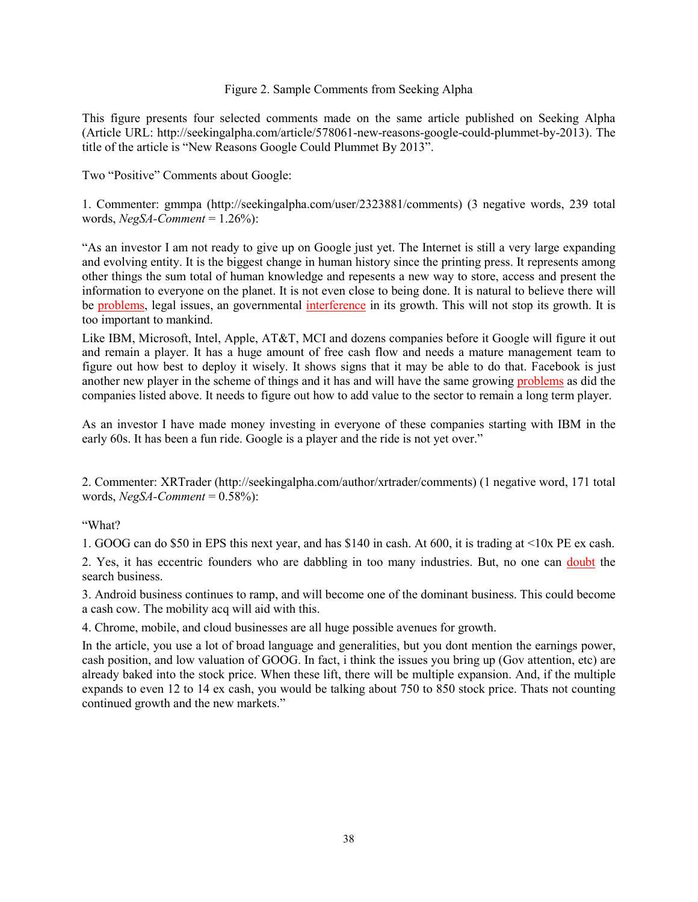# Figure 2. Sample Comments from Seeking Alpha

This figure presents four selected comments made on the same article published on Seeking Alpha (Article URL: http://seekingalpha.com/article/578061-new-reasons-google-could-plummet-by-2013). The title of the article is "New Reasons Google Could Plummet By 2013".

Two "Positive" Comments about Google:

1. Commenter: gmmpa (http://seekingalpha.com/user/2323881/comments) (3 negative words, 239 total words, *NegSA-Comment* = 1.26%):

"As an investor I am not ready to give up on Google just yet. The Internet is still a very large expanding and evolving entity. It is the biggest change in human history since the printing press. It represents among other things the sum total of human knowledge and repesents a new way to store, access and present the information to everyone on the planet. It is not even close to being done. It is natural to believe there will be problems, legal issues, an governmental interference in its growth. This will not stop its growth. It is too important to mankind.

Like IBM, Microsoft, Intel, Apple, AT&T, MCI and dozens companies before it Google will figure it out and remain a player. It has a huge amount of free cash flow and needs a mature management team to figure out how best to deploy it wisely. It shows signs that it may be able to do that. Facebook is just another new player in the scheme of things and it has and will have the same growing problems as did the companies listed above. It needs to figure out how to add value to the sector to remain a long term player.

As an investor I have made money investing in everyone of these companies starting with IBM in the early 60s. It has been a fun ride. Google is a player and the ride is not yet over."

2. Commenter: XRTrader (http://seekingalpha.com/author/xrtrader/comments) (1 negative word, 171 total words, *NegSA-Comment* = 0.58%):

"What?

1. GOOG can do \$50 in EPS this next year, and has \$140 in cash. At 600, it is trading at <10x PE ex cash.

2. Yes, it has eccentric founders who are dabbling in too many industries. But, no one can doubt the search business.

3. Android business continues to ramp, and will become one of the dominant business. This could become a cash cow. The mobility acq will aid with this.

4. Chrome, mobile, and cloud businesses are all huge possible avenues for growth.

In the article, you use a lot of broad language and generalities, but you dont mention the earnings power, cash position, and low valuation of GOOG. In fact, i think the issues you bring up (Gov attention, etc) are already baked into the stock price. When these lift, there will be multiple expansion. And, if the multiple expands to even 12 to 14 ex cash, you would be talking about 750 to 850 stock price. Thats not counting continued growth and the new markets."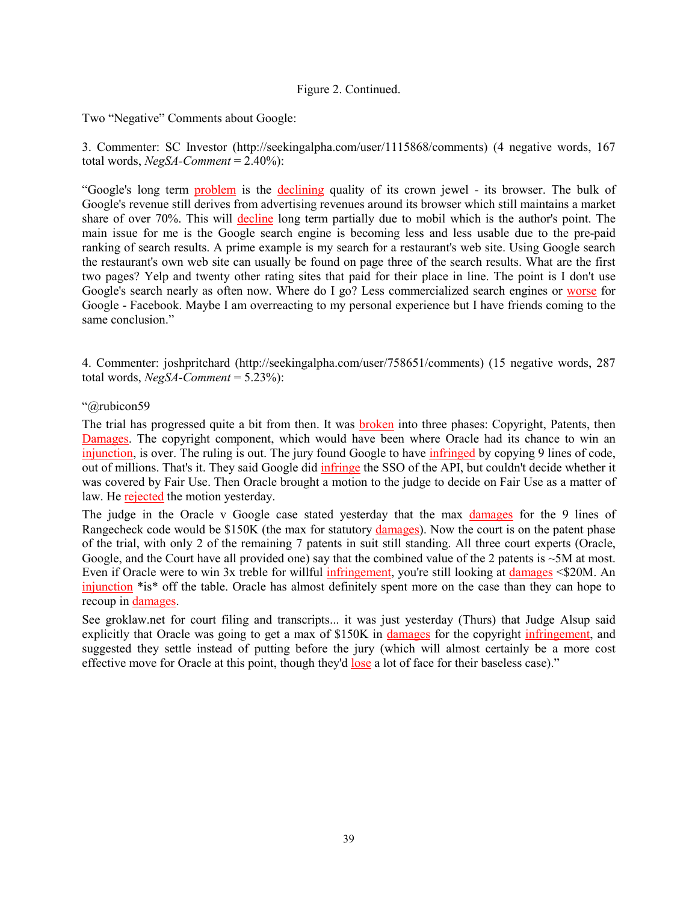# Figure 2. Continued.

Two "Negative" Comments about Google:

3. Commenter: SC Investor (http://seekingalpha.com/user/1115868/comments) (4 negative words, 167 total words, *NegSA-Comment* = 2.40%):

"Google's long term problem is the declining quality of its crown jewel - its browser. The bulk of Google's revenue still derives from advertising revenues around its browser which still maintains a market share of over 70%. This will decline long term partially due to mobil which is the author's point. The main issue for me is the Google search engine is becoming less and less usable due to the pre-paid ranking of search results. A prime example is my search for a restaurant's web site. Using Google search the restaurant's own web site can usually be found on page three of the search results. What are the first two pages? Yelp and twenty other rating sites that paid for their place in line. The point is I don't use Google's search nearly as often now. Where do I go? Less commercialized search engines or worse for Google - Facebook. Maybe I am overreacting to my personal experience but I have friends coming to the same conclusion."

4. Commenter: joshpritchard (http://seekingalpha.com/user/758651/comments) (15 negative words, 287 total words, *NegSA-Comment* = 5.23%):

# "@rubicon59

The trial has progressed quite a bit from then. It was **broken** into three phases: Copyright, Patents, then Damages. The copyright component, which would have been where Oracle had its chance to win an injunction, is over. The ruling is out. The jury found Google to have infringed by copying 9 lines of code, out of millions. That's it. They said Google did infringe the SSO of the API, but couldn't decide whether it was covered by Fair Use. Then Oracle brought a motion to the judge to decide on Fair Use as a matter of law. He rejected the motion yesterday.

The judge in the Oracle v Google case stated yesterday that the max damages for the 9 lines of Rangecheck code would be \$150K (the max for statutory damages). Now the court is on the patent phase of the trial, with only 2 of the remaining 7 patents in suit still standing. All three court experts (Oracle, Google, and the Court have all provided one) say that the combined value of the 2 patents is ~5M at most. Even if Oracle were to win 3x treble for willful infringement, you're still looking at damages <\$20M. An injunction \*is\* off the table. Oracle has almost definitely spent more on the case than they can hope to recoup in damages.

See groklaw.net for court filing and transcripts... it was just yesterday (Thurs) that Judge Alsup said explicitly that Oracle was going to get a max of \$150K in damages for the copyright infringement, and suggested they settle instead of putting before the jury (which will almost certainly be a more cost effective move for Oracle at this point, though they'd lose a lot of face for their baseless case)."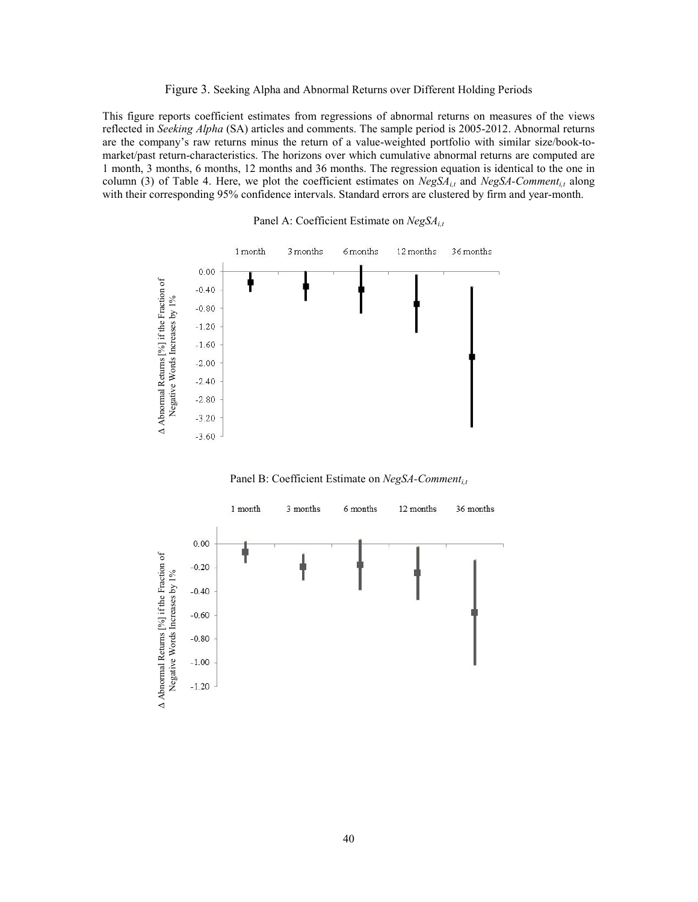Figure 3. Seeking Alpha and Abnormal Returns over Different Holding Periods

This figure reports coefficient estimates from regressions of abnormal returns on measures of the views reflected in *Seeking Alpha* (SA) articles and comments. The sample period is 2005-2012. Abnormal returns are the company's raw returns minus the return of a value-weighted portfolio with similar size/book-tomarket/past return-characteristics. The horizons over which cumulative abnormal returns are computed are 1 month, 3 months, 6 months, 12 months and 36 months. The regression equation is identical to the one in column (3) of Table 4. Here, we plot the coefficient estimates on *NegSA<sub>i,t</sub>* and *NegSA-Comment<sub>i,t</sub>* along with their corresponding 95% confidence intervals. Standard errors are clustered by firm and year-month.







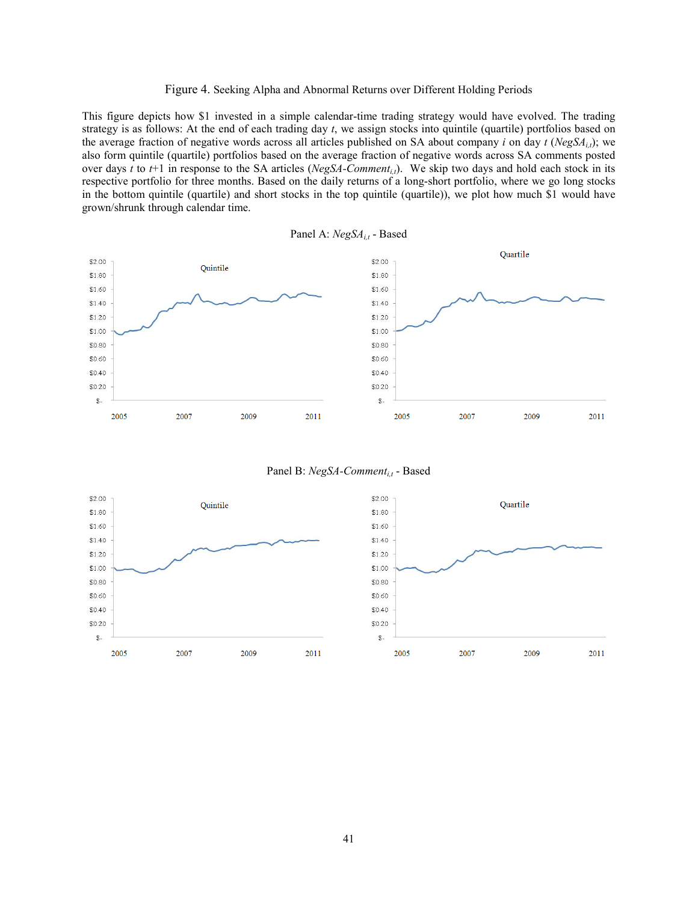#### Figure 4. Seeking Alpha and Abnormal Returns over Different Holding Periods

This figure depicts how \$1 invested in a simple calendar-time trading strategy would have evolved. The trading strategy is as follows: At the end of each trading day *t*, we assign stocks into quintile (quartile) portfolios based on the average fraction of negative words across all articles published on SA about company *i* on day *t* ( $NegSA_{i,t}$ ); we also form quintile (quartile) portfolios based on the average fraction of negative words across SA comments posted over days *t* to *t*+1 in response to the SA articles (*NegSA-Comment<sub>i,t</sub>*). We skip two days and hold each stock in its respective portfolio for three months. Based on the daily returns of a long-short portfolio, where we go long stocks in the bottom quintile (quartile) and short stocks in the top quintile (quartile)), we plot how much \$1 would have grown/shrunk through calendar time.

Panel A: *NegSA<sub>it</sub>* - Based



Panel B: *NegSA-Comment<sub>i.t</sub>* - Based

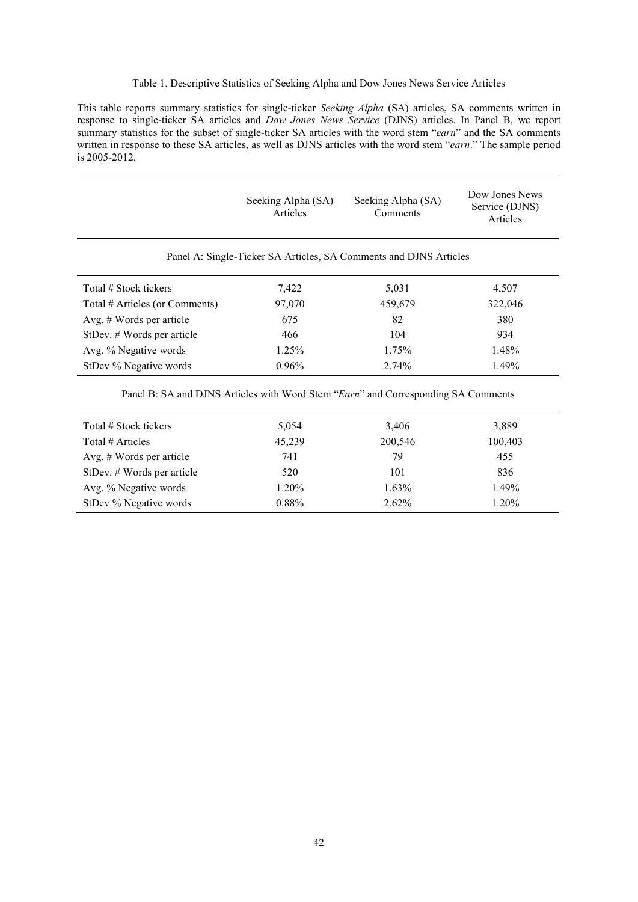### Table 1. Descriptive Statistics of Seeking Alpha and Dow Jones News Service Articles

This table reports summary statistics for single-ticker *Seeking Alpha* (SA) articles, SA comments written in response to single-ticker SA articles and *Dow Jones News Service* (DJNS) articles. In Panel B, we report summary statistics for the subset of single-ticker SA articles with the word stem "*earn*" and the SA comments written in response to these SA articles, as well as DJNS articles with the word stem "*earn*." The sample period is 2005-2012.

|                                | Seeking Alpha (SA)<br>Articles | Seeking Alpha (SA)<br>Comments                                    | Dow Jones News<br>Service (DJNS)<br>Articles |
|--------------------------------|--------------------------------|-------------------------------------------------------------------|----------------------------------------------|
|                                |                                | Panel A: Single-Ticker SA Articles, SA Comments and DJNS Articles |                                              |
| Total # Stock tickers          | 7,422                          | 5,031                                                             | 4,507                                        |
| Total # Articles (or Comments) | 97,070                         | 459,679                                                           | 322,046                                      |
| Avg. $#$ Words per article     | 675                            | 82                                                                | 380                                          |
| StDev. # Words per article     | 466                            | 104                                                               | 934                                          |
| Avg. % Negative words          | 1.25%                          | 1.75%                                                             | 1.48%                                        |
| StDev % Negative words         | 0.96%                          | 2.74%                                                             | 1.49%                                        |

Panel B: SA and DJNS Articles with Word Stem "*Earn*" and Corresponding SA Comments

| Total # Stock tickers        | 5,054    | 3,406   | 3,889   |
|------------------------------|----------|---------|---------|
| Total # Articles             | 45,239   | 200,546 | 100,403 |
| Avg. $#$ Words per article   | 741      | 79      | 455     |
| StDev. $#$ Words per article | 520      | 101     | 836     |
| Avg. % Negative words        | $1.20\%$ | 1.63%   | 1.49%   |
| StDev % Negative words       | $0.88\%$ | 2.62%   | 1.20%   |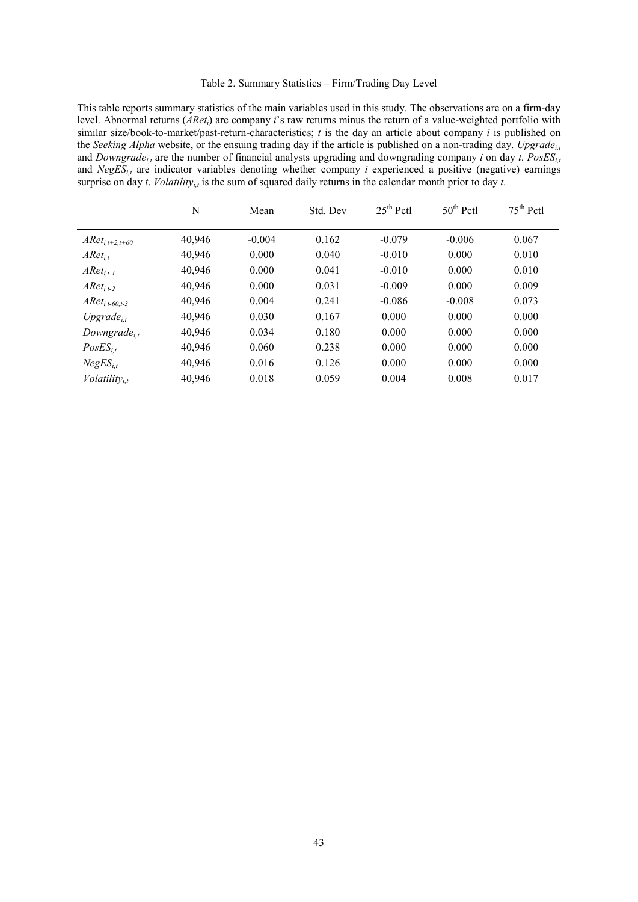#### Table 2. Summary Statistics – Firm/Trading Day Level

This table reports summary statistics of the main variables used in this study. The observations are on a firm-day level. Abnormal returns (*AReti*) are company *i*'s raw returns minus the return of a value-weighted portfolio with similar size/book-to-market/past-return-characteristics; *t* is the day an article about company *i* is published on the *Seeking Alpha* website, or the ensuing trading day if the article is published on a non-trading day. *Upgrade<sub>it</sub>* and *Downgrade<sub>i,t</sub>* are the number of financial analysts upgrading and downgrading company *i* on day *t*. *PosES*<sub>i,t</sub> and *NegES<sub>i,t</sub>* are indicator variables denoting whether company *i* experienced a positive (negative) earnings surprise on day *t*. *Volatility<sub>it</sub>* is the sum of squared daily returns in the calendar month prior to day *t*.

|                     | N      | Mean     | Std. Dev | $25^{th}$ Pctl | $50th$ Pctl | $75th$ Pctl |
|---------------------|--------|----------|----------|----------------|-------------|-------------|
| $ARet_{i,t+2,t+60}$ | 40,946 | $-0.004$ | 0.162    | $-0.079$       | $-0.006$    | 0.067       |
| $ARet_{i.t}$        | 40,946 | 0.000    | 0.040    | $-0.010$       | 0.000       | 0.010       |
| $ARet_{i.t-1}$      | 40,946 | 0.000    | 0.041    | $-0.010$       | 0.000       | 0.010       |
| $ARet_{i.t-2}$      | 40,946 | 0.000    | 0.031    | $-0.009$       | 0.000       | 0.009       |
| $ARet_{i,t-60,t-3}$ | 40,946 | 0.004    | 0.241    | $-0.086$       | $-0.008$    | 0.073       |
| $Upgrade_{i}$       | 40,946 | 0.030    | 0.167    | 0.000          | 0.000       | 0.000       |
| Downgrade $_{i,t}$  | 40,946 | 0.034    | 0.180    | 0.000          | 0.000       | 0.000       |
| $PosES_{i,t}$       | 40,946 | 0.060    | 0.238    | 0.000          | 0.000       | 0.000       |
| $NegES_{i.t}$       | 40,946 | 0.016    | 0.126    | 0.000          | 0.000       | 0.000       |
| $Volatility_{i,t}$  | 40,946 | 0.018    | 0.059    | 0.004          | 0.008       | 0.017       |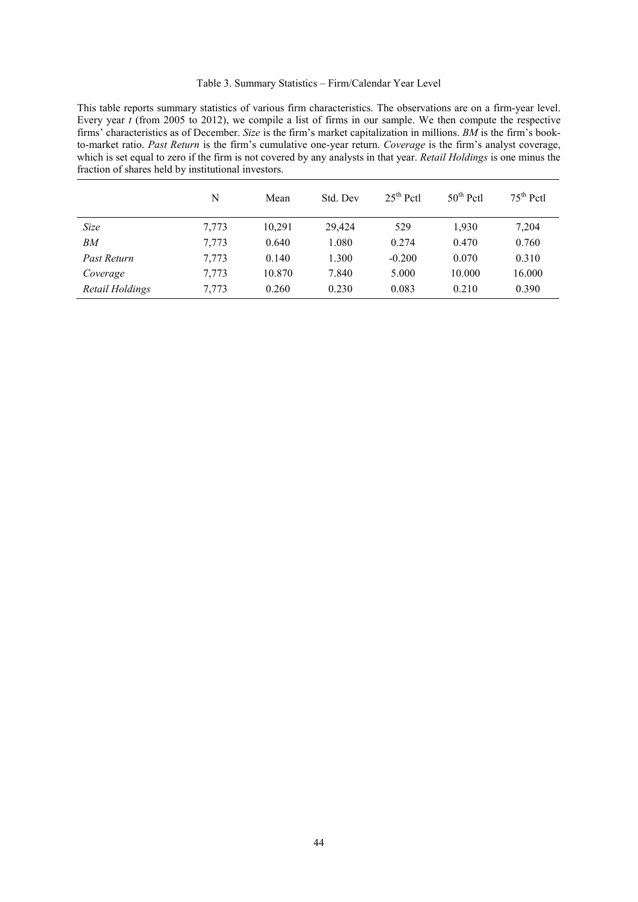#### Table 3. Summary Statistics – Firm/Calendar Year Level

This table reports summary statistics of various firm characteristics. The observations are on a firm-year level. Every year *t* (from 2005 to 2012), we compile a list of firms in our sample. We then compute the respective firms' characteristics as of December. *Size* is the firm's market capitalization in millions. *BM* is the firm's bookto-market ratio. *Past Return* is the firm's cumulative one-year return. *Coverage* is the firm's analyst coverage, which is set equal to zero if the firm is not covered by any analysts in that year. *Retail Holdings* is one minus the fraction of shares held by institutional investors.

|                        | N     | Mean   | Std. Dev | $25^{th}$ Pctl | $50^{th}$ Pctl | $75^{\text{th}}$ Pctl |
|------------------------|-------|--------|----------|----------------|----------------|-----------------------|
| Size                   | 7,773 | 10,291 | 29.424   | 529            | 1,930          | 7,204                 |
| BМ                     | 7,773 | 0.640  | 1.080    | 0.274          | 0.470          | 0.760                 |
| Past Return            | 7,773 | 0.140  | 1.300    | $-0.200$       | 0.070          | 0.310                 |
| Coverage               | 7,773 | 10.870 | 7.840    | 5.000          | 10.000         | 16.000                |
| <b>Retail Holdings</b> | 7,773 | 0.260  | 0.230    | 0.083          | 0.210          | 0.390                 |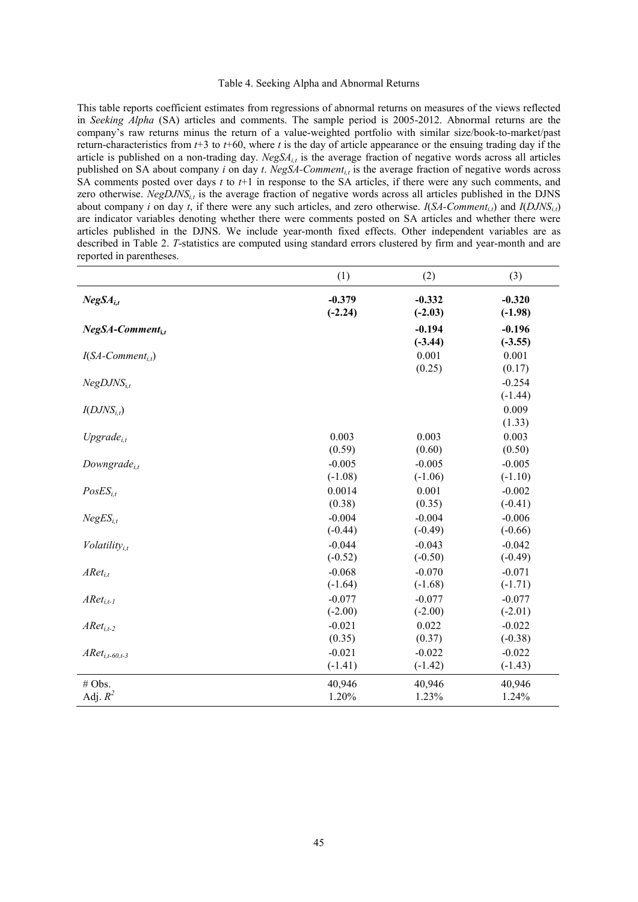#### Table 4. Seeking Alpha and Abnormal Returns

This table reports coefficient estimates from regressions of abnormal returns on measures of the views reflected in *Seeking Alpha* (SA) articles and comments. The sample period is 2005-2012. Abnormal returns are the company's raw returns minus the return of a value-weighted portfolio with similar size/book-to-market/past return-characteristics from  $t+3$  to  $t+60$ , where t is the day of article appearance or the ensuing trading day if the article is published on a non-trading day.  $NegSA_{i,t}$  is the average fraction of negative words across all articles published on SA about company *i* on day *t*. *NegSA-Comment<sub>i,t</sub>* is the average fraction of negative words across SA comments posted over days  $t$  to  $t+1$  in response to the SA articles, if there were any such comments, and zero otherwise. *NegDJNS<sub>it</sub>* is the average fraction of negative words across all articles published in the DJNS about company *i* on day *t*, if there were any such articles, and zero otherwise. *I*(*SA-Comment<sub>ij</sub>*) and *I*(*DJNS*<sub>*ij*</sub>) are indicator variables denoting whether there were comments posted on SA articles and whether there were articles published in the DJNS. We include year-month fixed effects. Other independent variables are as described in Table 2. *T*-statistics are computed using standard errors clustered by firm and year-month and are reported in parentheses.

|                       | (1)       | (2)       | (3)       |
|-----------------------|-----------|-----------|-----------|
| $NegSA_{i,t}$         | $-0.379$  | $-0.332$  | $-0.320$  |
|                       | $(-2.24)$ | $(-2.03)$ | $(-1.98)$ |
| $NegSA-Comment_{i,t}$ |           | $-0.194$  | $-0.196$  |
|                       |           | $(-3.44)$ | $(-3.55)$ |
| $I(SA-Comment_{i,t})$ |           | 0.001     | 0.001     |
|                       |           | (0.25)    | (0.17)    |
| $NegDJNS_{i.t}$       |           |           | $-0.254$  |
|                       |           |           | $(-1.44)$ |
| $I(DJNS_{i,t})$       |           |           | 0.009     |
|                       |           |           | (1.33)    |
| $Upgrade_{i,t}$       | 0.003     | 0.003     | 0.003     |
|                       | (0.59)    | (0.60)    | (0.50)    |
| Downgrade $_{i,t}$    | $-0.005$  | $-0.005$  | $-0.005$  |
|                       | $(-1.08)$ | $(-1.06)$ | $(-1.10)$ |
| $PosES_{i,t}$         | 0.0014    | 0.001     | $-0.002$  |
|                       | (0.38)    | (0.35)    | $(-0.41)$ |
| $NegES_{i,t}$         | $-0.004$  | $-0.004$  | $-0.006$  |
|                       | $(-0.44)$ | $(-0.49)$ | $(-0.66)$ |
| $Volatility_{i,t}$    | $-0.044$  | $-0.043$  | $-0.042$  |
|                       | $(-0.52)$ | $(-0.50)$ | $(-0.49)$ |
| $ARet_{i,t}$          | $-0.068$  | $-0.070$  | $-0.071$  |
|                       | $(-1.64)$ | $(-1.68)$ | $(-1.71)$ |
| $ARet_{i,t-1}$        | $-0.077$  | $-0.077$  | $-0.077$  |
|                       | $(-2.00)$ | $(-2.00)$ | $(-2.01)$ |
| $ARet_{i,t-2}$        | $-0.021$  | 0.022     | $-0.022$  |
|                       | (0.35)    | (0.37)    | $(-0.38)$ |
| $ARet_{i,t-60,t-3}$   | $-0.021$  | $-0.022$  | $-0.022$  |
|                       | $(-1.41)$ | $(-1.42)$ | $(-1.43)$ |
| # Obs.                | 40,946    | 40,946    | 40,946    |
| Adj. $R^2$            | 1.20%     | 1.23%     | 1.24%     |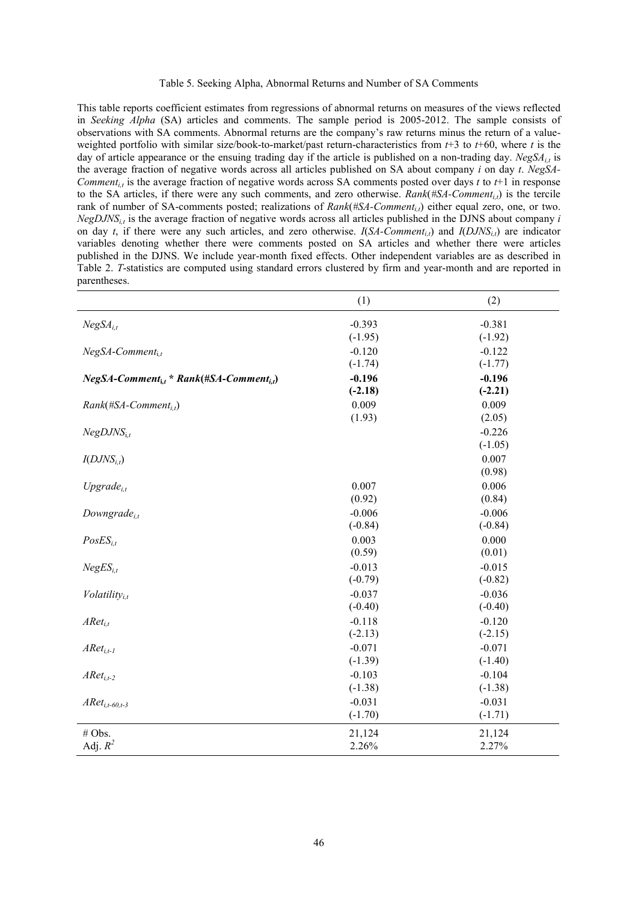#### Table 5. Seeking Alpha, Abnormal Returns and Number of SA Comments

This table reports coefficient estimates from regressions of abnormal returns on measures of the views reflected in *Seeking Alpha* (SA) articles and comments. The sample period is 2005-2012. The sample consists of observations with SA comments. Abnormal returns are the company's raw returns minus the return of a valueweighted portfolio with similar size/book-to-market/past return-characteristics from *t*+3 to *t*+60, where *t* is the day of article appearance or the ensuing trading day if the article is published on a non-trading day.  $NegSA_{i,t}$  is the average fraction of negative words across all articles published on SA about company *i* on day *t*. *NegSA-Comment<sub>it</sub>* is the average fraction of negative words across SA comments posted over days *t* to  $t+1$  in response to the SA articles, if there were any such comments, and zero otherwise.  $Rank(\#SA-Comment_{i,t})$  is the tercile rank of number of SA-comments posted; realizations of *Rank*(#SA-Comment<sub>it</sub>) either equal zero, one, or two.  $NegDJNS_i$  is the average fraction of negative words across all articles published in the DJNS about company *i* on day *t*, if there were any such articles, and zero otherwise. *I*( $SA\text{-}Comment_i$ ) and  $I(DJNS_i)$  are indicator variables denoting whether there were comments posted on SA articles and whether there were articles published in the DJNS. We include year-month fixed effects. Other independent variables are as described in Table 2. *T*-statistics are computed using standard errors clustered by firm and year-month and are reported in parentheses.

|                                                  | (1)       | (2)       |
|--------------------------------------------------|-----------|-----------|
| $NegSA$ <sub>i,t</sub>                           | $-0.393$  | $-0.381$  |
|                                                  | $(-1.95)$ | $(-1.92)$ |
| $NegSA-Comment_{i,t}$                            | $-0.120$  | $-0.122$  |
|                                                  | $(-1.74)$ | $(-1.77)$ |
| $NegSA-Comment_{i,t} * Rank(\#SA-Comment_{i,t})$ | $-0.196$  | $-0.196$  |
|                                                  | $(-2.18)$ | $(-2.21)$ |
| $Rank(\#SA-Comment_{i,t})$                       | 0.009     | 0.009     |
|                                                  | (1.93)    | (2.05)    |
| $NegDJNS_{i.t}$                                  |           | $-0.226$  |
|                                                  |           | $(-1.05)$ |
| $I(DJNS_{i,t})$                                  |           | 0.007     |
|                                                  |           | (0.98)    |
| $Upgrade_{i,t}$                                  | 0.007     | 0.006     |
|                                                  | (0.92)    | (0.84)    |
| Downgrade $_{i,t}$                               | $-0.006$  | $-0.006$  |
|                                                  | $(-0.84)$ | $(-0.84)$ |
| $PosES_{i,t}$                                    | 0.003     | 0.000     |
|                                                  | (0.59)    | (0.01)    |
| $NegES_{i,t}$                                    | $-0.013$  | $-0.015$  |
|                                                  | $(-0.79)$ | $(-0.82)$ |
| $Volatility_{i,t}$                               | $-0.037$  | $-0.036$  |
|                                                  | $(-0.40)$ | $(-0.40)$ |
| $ARet_{i,t}$                                     | $-0.118$  | $-0.120$  |
|                                                  | $(-2.13)$ | $(-2.15)$ |
| $ARet_{i,t-1}$                                   | $-0.071$  | $-0.071$  |
|                                                  | $(-1.39)$ | $(-1.40)$ |
| $ARet_{i,t-2}$                                   | $-0.103$  | $-0.104$  |
|                                                  | $(-1.38)$ | $(-1.38)$ |
| $ARet_{i,t-60,t-3}$                              | $-0.031$  | $-0.031$  |
|                                                  | $(-1.70)$ | $(-1.71)$ |
| # Obs.                                           | 21,124    | 21,124    |
| Adj. $R^2$                                       | 2.26%     | 2.27%     |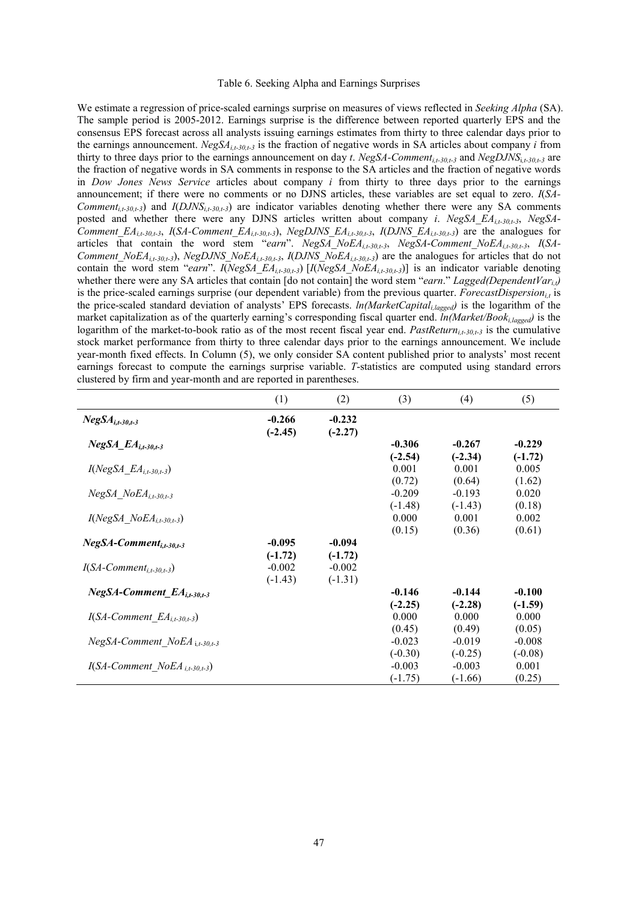#### Table 6. Seeking Alpha and Earnings Surprises

We estimate a regression of price-scaled earnings surprise on measures of views reflected in *Seeking Alpha* (SA). The sample period is 2005-2012. Earnings surprise is the difference between reported quarterly EPS and the consensus EPS forecast across all analysts issuing earnings estimates from thirty to three calendar days prior to the earnings announcement.  $NegSA_{i,t-30,t-3}$  is the fraction of negative words in SA articles about company *i* from thirty to three days prior to the earnings announcement on day *t*. *NegSA-Comment<sub>i,t-30,t-3* and *NegDJNS*<sub>i,t-30,t-3</sub> are</sub> the fraction of negative words in SA comments in response to the SA articles and the fraction of negative words in *Dow Jones News Service* articles about company *i* from thirty to three days prior to the earnings announcement; if there were no comments or no DJNS articles, these variables are set equal to zero. *I*(*SA-Comment<sub>i,t-30,t-3*</sub>) and *I*(*DJNS*<sub>*i,t-30,t-3*) are indicator variables denoting whether there were any SA comments</sub> posted and whether there were any DJNS articles written about company *i*. *NegSA\_EAi,t-30,t-3*, *NegSA*-*Comment EA<sub>i,t-30,t-3*, *I*(*SA-Comment EA<sub>i,t-30,t-3*), *NegDJNS*  $EA_{i,t-30,t-3}$ , *I*(*DJNS EA<sub>i,t-30,t-3*) are the analogues for</sub></sub></sub> articles that contain the word stem "*earn*". *NegSA\_NoEAi,t-30,t-3*, *NegSA*-*Comment\_NoEAi,t-30,t-3*, *I*(*SA-Comment NoEA<sub>i,t-30,t-3</sub>*), *NegDJNS NoEA<sub>i,t-30,t-3*, *I*(*DJNS NoEA<sub>i,t-30,t-3*</sub>) are the analogues for articles that do not</sub> contain the word stem "*earn*". *I*(*NegSA\_EA<sub>i,t-30,t-3*) [*I*(*NegSA\_NoEA<sub>i,t-30,t-3*)] is an indicator variable denoting</sub></sub> whether there were any SA articles that contain [do not contain] the word stem "*earn*." *Lagged(DependentVar<sub>i,t</sub>)* is the price-scaled earnings surprise (our dependent variable) from the previous quarter. *ForecastDispersion*<sub>ia</sub> is the price-scaled standard deviation of analysts' EPS forecasts. *ln(MarketCapitali,lagged)* is the logarithm of the market capitalization as of the quarterly earning's corresponding fiscal quarter end. *ln(Market/Booki,lagged)* is the logarithm of the market-to-book ratio as of the most recent fiscal year end. *PastReturn<sub>i,t-30,t-3</sub>* is the cumulative stock market performance from thirty to three calendar days prior to the earnings announcement. We include year-month fixed effects. In Column (5), we only consider SA content published prior to analysts' most recent earnings forecast to compute the earnings surprise variable. *T*-statistics are computed using standard errors clustered by firm and year-month and are reported in parentheses.

|                                            | (1)                   | (2)                   | (3)                                | (4)                                | (5)                          |
|--------------------------------------------|-----------------------|-----------------------|------------------------------------|------------------------------------|------------------------------|
| $NegSA_{i,t-30,t-3}$                       | $-0.266$<br>$(-2.45)$ | $-0.232$<br>$(-2.27)$ |                                    |                                    |                              |
| NegSA $EA_{i,t-30,t-3}$                    |                       |                       | $-0.306$<br>$(-2.54)$              | $-0.267$<br>$(-2.34)$              | $-0.229$<br>$(-1.72)$        |
| $I(NegSAL1,t-30,t-3)$                      |                       |                       | 0.001                              | 0.001                              | 0.005                        |
| $NegSA$ NoE $A_{i,t-30,t-3}$               |                       |                       | (0.72)<br>$-0.209$                 | (0.64)<br>$-0.193$                 | (1.62)<br>0.020              |
| $I(NegSA \space NoEA_{i.t-30,t-3})$        |                       |                       | $(-1.48)$<br>0.000                 | $(-1.43)$<br>0.001                 | (0.18)<br>0.002              |
| $NegSA-Comment_{i,t-30,t-3}$               | $-0.095$<br>$(-1.72)$ | $-0.094$<br>$(-1.72)$ | (0.15)                             | (0.36)                             | (0.61)                       |
| $I(SA-Comment_{i,t-30,t-3})$               | $-0.002$<br>$(-1.43)$ | $-0.002$<br>$(-1.31)$ |                                    |                                    |                              |
| NegSA-Comment_E $A_{i,t-30,t-3}$           |                       |                       | $-0.146$<br>$(-2.25)$              | $-0.144$<br>$(-2.28)$              | $-0.100$<br>$(-1.59)$        |
| $I(SA-Comment\ EA_{i,t-30,t-3})$           |                       |                       | 0.000                              | 0.000                              | 0.000                        |
| $NegSA$ -Comment NoEA <sub>it-30,t-3</sub> |                       |                       | (0.45)<br>$-0.023$                 | (0.49)<br>$-0.019$                 | (0.05)<br>$-0.008$           |
| $I(SA-Comment~NoEAi,t-30,t-3)$             |                       |                       | $(-0.30)$<br>$-0.003$<br>$(-1.75)$ | $(-0.25)$<br>$-0.003$<br>$(-1.66)$ | $(-0.08)$<br>0.001<br>(0.25) |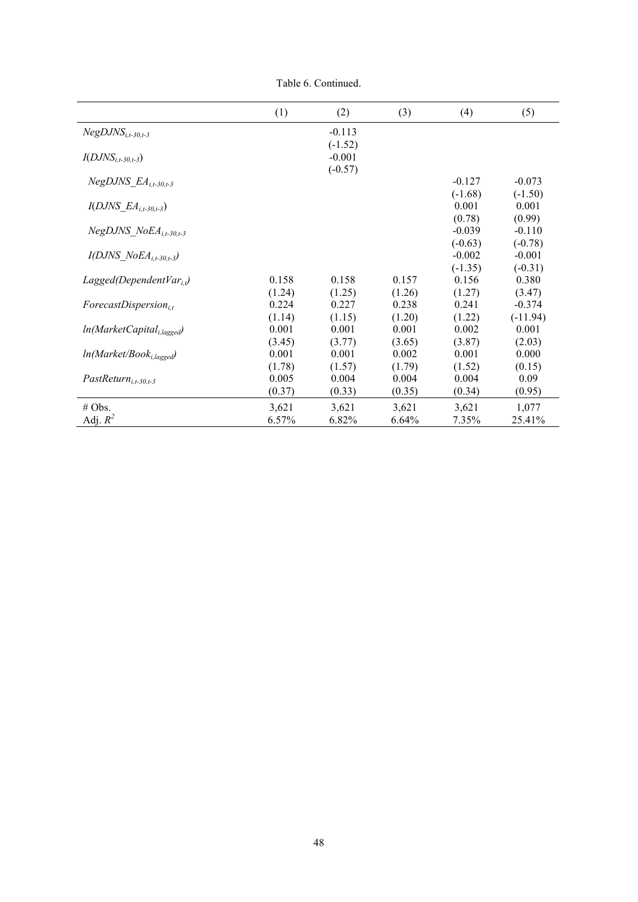|  | Table 6. Continued. |
|--|---------------------|
|  |                     |

|                                       | (1)    | (2)       | (3)    | (4)       | (5)        |
|---------------------------------------|--------|-----------|--------|-----------|------------|
| $NegDJNS_{i,t-30,t-3}$                |        | $-0.113$  |        |           |            |
|                                       |        | $(-1.52)$ |        |           |            |
| $I(DJNS_{i,t-30,t-3})$                |        | $-0.001$  |        |           |            |
|                                       |        | $(-0.57)$ |        |           |            |
| NegDJNS $EA_{i.t-30,t-3}$             |        |           |        | $-0.127$  | $-0.073$   |
|                                       |        |           |        | $(-1.68)$ | $(-1.50)$  |
| $I(DJNS E A_{i,t-30,t-3})$            |        |           |        | 0.001     | 0.001      |
|                                       |        |           |        | (0.78)    | (0.99)     |
| NegDJNS $NoEA_{i,t-30,t-3}$           |        |           |        | $-0.039$  | $-0.110$   |
|                                       |        |           |        | $(-0.63)$ | $(-0.78)$  |
| $I(DJNS\ NoEAi.t-30.t-3)$             |        |           |        | $-0.002$  | $-0.001$   |
|                                       |        |           |        | $(-1.35)$ | $(-0.31)$  |
| $LaggerVar_{i}$                       | 0.158  | 0.158     | 0.157  | 0.156     | 0.380      |
|                                       | (1.24) | (1.25)    | (1.26) | (1.27)    | (3.47)     |
| $ForecastDisperson_{i,t}$             | 0.224  | 0.227     | 0.238  | 0.241     | $-0.374$   |
|                                       | (1.14) | (1.15)    | (1.20) | (1.22)    | $(-11.94)$ |
| $ln(Market Capital_{i,lagged})$       | 0.001  | 0.001     | 0.001  | 0.002     | 0.001      |
|                                       | (3.45) | (3.77)    | (3.65) | (3.87)    | (2.03)     |
| ln(Marker/Book <sub>i, lagged</sub> ) | 0.001  | 0.001     | 0.002  | 0.001     | 0.000      |
|                                       | (1.78) | (1.57)    | (1.79) | (1.52)    | (0.15)     |
| $PastReturn_{i,t-30,t-3}$             | 0.005  | 0.004     | 0.004  | 0.004     | 0.09       |
|                                       | (0.37) | (0.33)    | (0.35) | (0.34)    | (0.95)     |
| # Obs.                                | 3,621  | 3,621     | 3,621  | 3,621     | 1,077      |
| Adj. $R^2$                            | 6.57%  | 6.82%     | 6.64%  | 7.35%     | 25.41%     |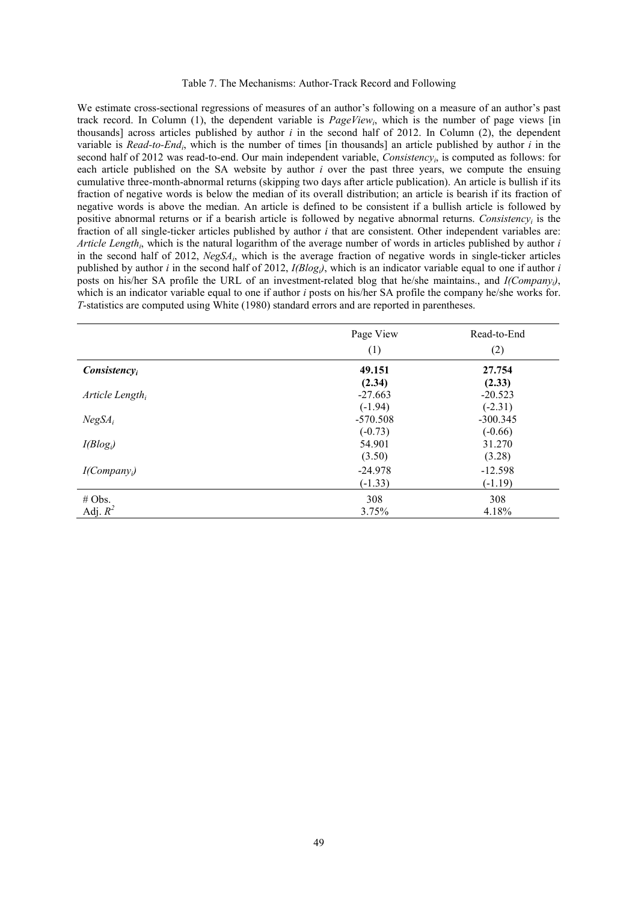#### Table 7. The Mechanisms: Author-Track Record and Following

We estimate cross-sectional regressions of measures of an author's following on a measure of an author's past track record. In Column (1), the dependent variable is *PageViewi*, which is the number of page views [in thousands] across articles published by author *i* in the second half of 2012. In Column (2), the dependent variable is *Read-to-Endi*, which is the number of times [in thousands] an article published by author *i* in the second half of 2012 was read-to-end. Our main independent variable, *Consistencyi*, is computed as follows: for each article published on the SA website by author *i* over the past three years, we compute the ensuing cumulative three-month-abnormal returns (skipping two days after article publication). An article is bullish if its fraction of negative words is below the median of its overall distribution; an article is bearish if its fraction of negative words is above the median. An article is defined to be consistent if a bullish article is followed by positive abnormal returns or if a bearish article is followed by negative abnormal returns. *Consistencyi* is the fraction of all single-ticker articles published by author *i* that are consistent. Other independent variables are: *Article Lengthi*, which is the natural logarithm of the average number of words in articles published by author *i* in the second half of 2012, *NegSAi*, which is the average fraction of negative words in single-ticker articles published by author *i* in the second half of 2012, *I(Blogi)*, which is an indicator variable equal to one if author *i* posts on his/her SA profile the URL of an investment-related blog that he/she maintains., and *I(Companyi)*, which is an indicator variable equal to one if author *i* posts on his/her SA profile the company he/she works for. *T*-statistics are computed using White (1980) standard errors and are reported in parentheses.

|                             | Page View                        | Read-to-End                      |
|-----------------------------|----------------------------------|----------------------------------|
|                             | (1)                              | (2)                              |
| $Consistency_i$             | 49.151                           | 27.754                           |
| Article Length <sub>i</sub> | (2.34)<br>$-27.663$<br>$(-1.94)$ | (2.33)<br>$-20.523$<br>$(-2.31)$ |
| $NegSA_i$                   | $-570.508$                       | $-300.345$                       |
| $I(Blog_i)$                 | $(-0.73)$<br>54.901<br>(3.50)    | $(-0.66)$<br>31.270<br>(3.28)    |
| $I(Compary_i)$              | $-24.978$<br>$(-1.33)$           | $-12.598$<br>$(-1.19)$           |
| # Obs.                      | 308                              | 308                              |
| Adj. $R^2$                  | 3.75%                            | 4.18%                            |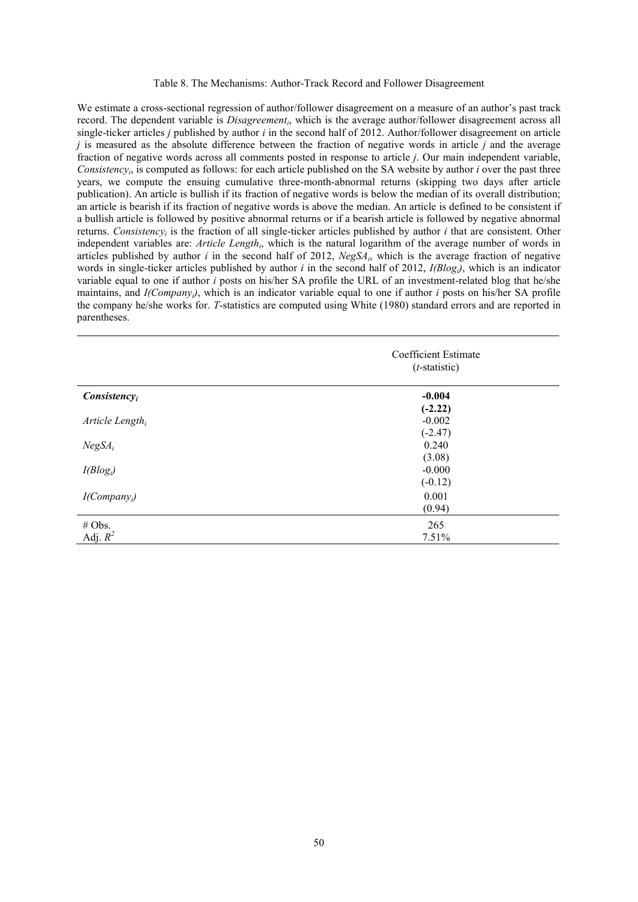#### Table 8. The Mechanisms: Author-Track Record and Follower Disagreement

We estimate a cross-sectional regression of author/follower disagreement on a measure of an author's past track record. The dependent variable is *Disagreementi*, which is the average author/follower disagreement across all single-ticker articles *j* published by author *i* in the second half of 2012. Author/follower disagreement on article *j* is measured as the absolute difference between the fraction of negative words in article *j* and the average fraction of negative words across all comments posted in response to article *j*. Our main independent variable, *Consistency<sub>i</sub>*, is computed as follows: for each article published on the SA website by author *i* over the past three years, we compute the ensuing cumulative three-month-abnormal returns (skipping two days after article publication). An article is bullish if its fraction of negative words is below the median of its overall distribution; an article is bearish if its fraction of negative words is above the median. An article is defined to be consistent if a bullish article is followed by positive abnormal returns or if a bearish article is followed by negative abnormal returns. *Consistencyi* is the fraction of all single-ticker articles published by author *i* that are consistent. Other independent variables are: *Article Lengthi*, which is the natural logarithm of the average number of words in articles published by author *i* in the second half of 2012, *NegSAi*, which is the average fraction of negative words in single-ticker articles published by author *i* in the second half of 2012, *I(Blogi)*, which is an indicator variable equal to one if author *i* posts on his/her SA profile the URL of an investment-related blog that he/she maintains, and *I(Companyi)*, which is an indicator variable equal to one if author *i* posts on his/her SA profile the company he/she works for. *T*-statistics are computed using White (1980) standard errors and are reported in parentheses.

|                             | Coefficient Estimate<br>$(t$ -statistic) |
|-----------------------------|------------------------------------------|
| $Consistency_i$             | $-0.004$                                 |
| Article Length <sub>i</sub> | $(-2.22)$<br>$-0.002$                    |
| $NegSA_i$                   | $(-2.47)$<br>0.240                       |
| I(Blog <sub>i</sub> )       | (3.08)<br>$-0.000$                       |
|                             | $(-0.12)$                                |
| $I(Compary_i)$              | 0.001<br>(0.94)                          |
| # Obs.                      | 265                                      |
| Adj. $R^2$                  | 7.51%                                    |